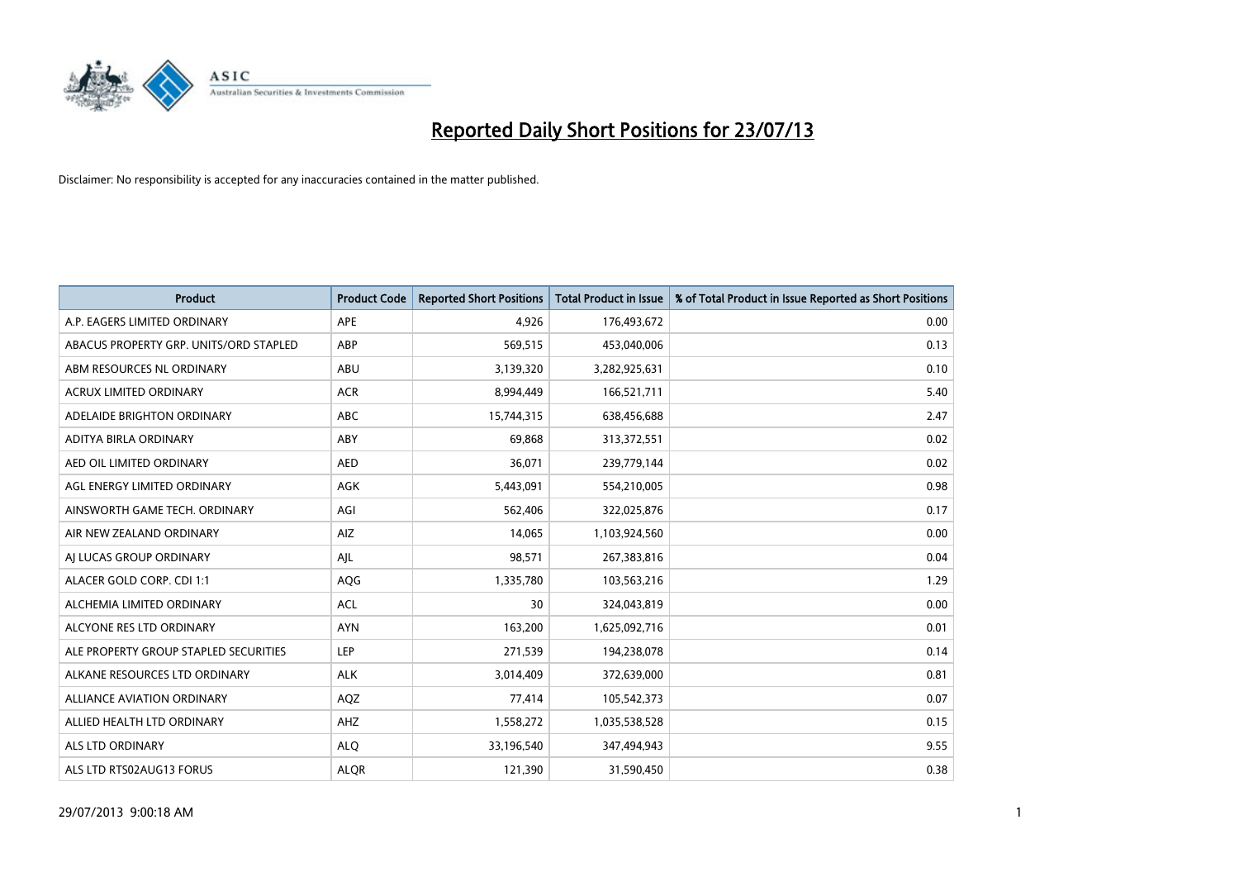

| <b>Product</b>                         | <b>Product Code</b> | <b>Reported Short Positions</b> | <b>Total Product in Issue</b> | % of Total Product in Issue Reported as Short Positions |
|----------------------------------------|---------------------|---------------------------------|-------------------------------|---------------------------------------------------------|
| A.P. EAGERS LIMITED ORDINARY           | APE                 | 4,926                           | 176,493,672                   | 0.00                                                    |
| ABACUS PROPERTY GRP. UNITS/ORD STAPLED | ABP                 | 569,515                         | 453,040,006                   | 0.13                                                    |
| ABM RESOURCES NL ORDINARY              | ABU                 | 3,139,320                       | 3,282,925,631                 | 0.10                                                    |
| ACRUX LIMITED ORDINARY                 | <b>ACR</b>          | 8,994,449                       | 166,521,711                   | 5.40                                                    |
| ADELAIDE BRIGHTON ORDINARY             | <b>ABC</b>          | 15,744,315                      | 638,456,688                   | 2.47                                                    |
| ADITYA BIRLA ORDINARY                  | ABY                 | 69,868                          | 313,372,551                   | 0.02                                                    |
| AED OIL LIMITED ORDINARY               | <b>AED</b>          | 36,071                          | 239,779,144                   | 0.02                                                    |
| AGL ENERGY LIMITED ORDINARY            | AGK                 | 5,443,091                       | 554,210,005                   | 0.98                                                    |
| AINSWORTH GAME TECH. ORDINARY          | AGI                 | 562,406                         | 322,025,876                   | 0.17                                                    |
| AIR NEW ZEALAND ORDINARY               | <b>AIZ</b>          | 14,065                          | 1,103,924,560                 | 0.00                                                    |
| AI LUCAS GROUP ORDINARY                | AJL                 | 98,571                          | 267,383,816                   | 0.04                                                    |
| ALACER GOLD CORP. CDI 1:1              | AQG                 | 1,335,780                       | 103,563,216                   | 1.29                                                    |
| ALCHEMIA LIMITED ORDINARY              | <b>ACL</b>          | 30                              | 324,043,819                   | 0.00                                                    |
| ALCYONE RES LTD ORDINARY               | <b>AYN</b>          | 163,200                         | 1,625,092,716                 | 0.01                                                    |
| ALE PROPERTY GROUP STAPLED SECURITIES  | <b>LEP</b>          | 271,539                         | 194,238,078                   | 0.14                                                    |
| ALKANE RESOURCES LTD ORDINARY          | <b>ALK</b>          | 3,014,409                       | 372,639,000                   | 0.81                                                    |
| ALLIANCE AVIATION ORDINARY             | AQZ                 | 77,414                          | 105,542,373                   | 0.07                                                    |
| ALLIED HEALTH LTD ORDINARY             | AHZ                 | 1,558,272                       | 1,035,538,528                 | 0.15                                                    |
| ALS LTD ORDINARY                       | <b>ALO</b>          | 33,196,540                      | 347,494,943                   | 9.55                                                    |
| ALS LTD RTS02AUG13 FORUS               | <b>ALOR</b>         | 121,390                         | 31,590,450                    | 0.38                                                    |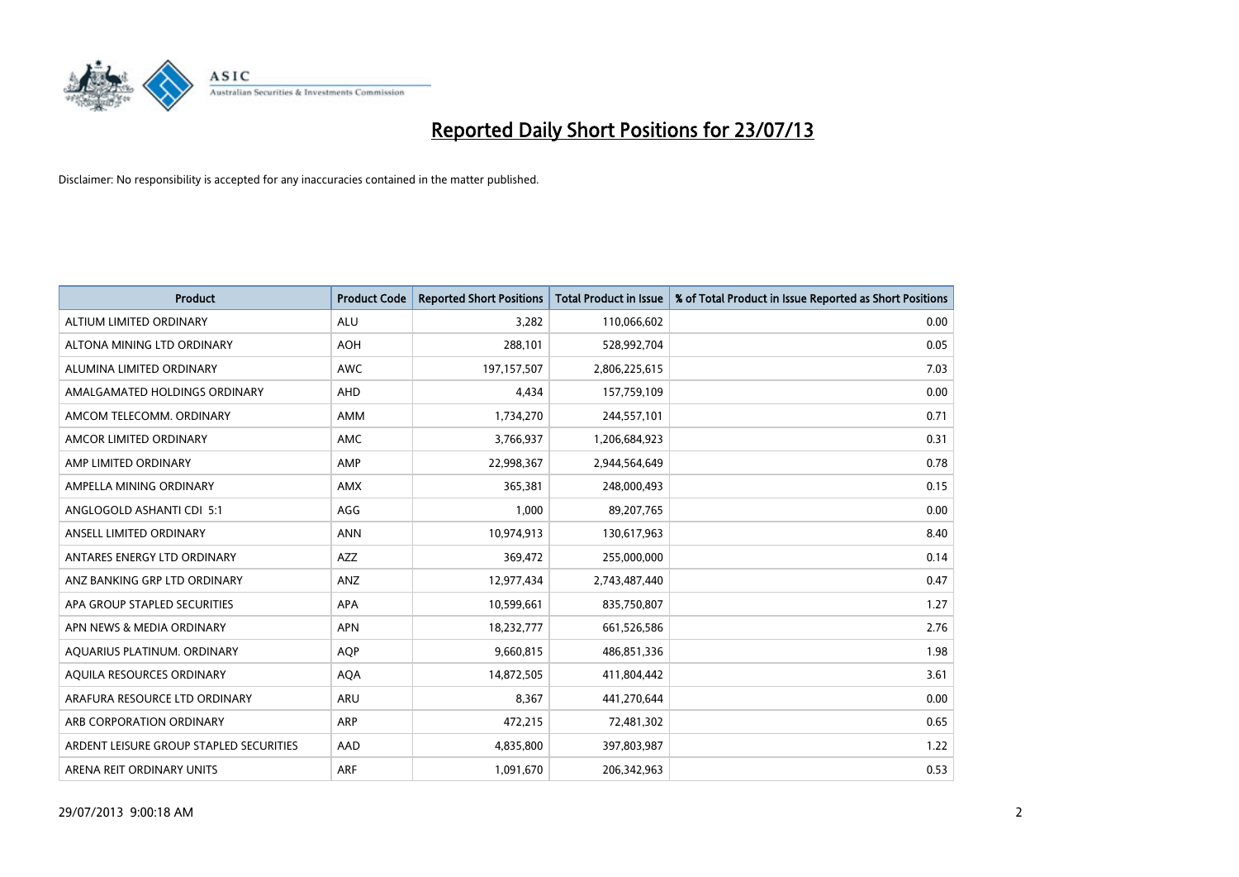

| <b>Product</b>                          | <b>Product Code</b> | <b>Reported Short Positions</b> | <b>Total Product in Issue</b> | % of Total Product in Issue Reported as Short Positions |
|-----------------------------------------|---------------------|---------------------------------|-------------------------------|---------------------------------------------------------|
| ALTIUM LIMITED ORDINARY                 | <b>ALU</b>          | 3,282                           | 110,066,602                   | 0.00                                                    |
| ALTONA MINING LTD ORDINARY              | <b>AOH</b>          | 288,101                         | 528,992,704                   | 0.05                                                    |
| ALUMINA LIMITED ORDINARY                | AWC                 | 197, 157, 507                   | 2,806,225,615                 | 7.03                                                    |
| AMALGAMATED HOLDINGS ORDINARY           | AHD                 | 4,434                           | 157,759,109                   | 0.00                                                    |
| AMCOM TELECOMM, ORDINARY                | AMM                 | 1,734,270                       | 244,557,101                   | 0.71                                                    |
| AMCOR LIMITED ORDINARY                  | AMC                 | 3,766,937                       | 1,206,684,923                 | 0.31                                                    |
| AMP LIMITED ORDINARY                    | AMP                 | 22,998,367                      | 2,944,564,649                 | 0.78                                                    |
| AMPELLA MINING ORDINARY                 | AMX                 | 365,381                         | 248,000,493                   | 0.15                                                    |
| ANGLOGOLD ASHANTI CDI 5:1               | AGG                 | 1,000                           | 89,207,765                    | 0.00                                                    |
| ANSELL LIMITED ORDINARY                 | <b>ANN</b>          | 10,974,913                      | 130,617,963                   | 8.40                                                    |
| ANTARES ENERGY LTD ORDINARY             | AZZ                 | 369,472                         | 255,000,000                   | 0.14                                                    |
| ANZ BANKING GRP LTD ORDINARY            | ANZ                 | 12,977,434                      | 2,743,487,440                 | 0.47                                                    |
| APA GROUP STAPLED SECURITIES            | APA                 | 10,599,661                      | 835,750,807                   | 1.27                                                    |
| APN NEWS & MEDIA ORDINARY               | <b>APN</b>          | 18,232,777                      | 661,526,586                   | 2.76                                                    |
| AQUARIUS PLATINUM. ORDINARY             | <b>AOP</b>          | 9,660,815                       | 486,851,336                   | 1.98                                                    |
| AQUILA RESOURCES ORDINARY               | <b>AQA</b>          | 14,872,505                      | 411,804,442                   | 3.61                                                    |
| ARAFURA RESOURCE LTD ORDINARY           | ARU                 | 8,367                           | 441,270,644                   | 0.00                                                    |
| ARB CORPORATION ORDINARY                | ARP                 | 472,215                         | 72,481,302                    | 0.65                                                    |
| ARDENT LEISURE GROUP STAPLED SECURITIES | AAD                 | 4,835,800                       | 397,803,987                   | 1.22                                                    |
| ARENA REIT ORDINARY UNITS               | <b>ARF</b>          | 1,091,670                       | 206,342,963                   | 0.53                                                    |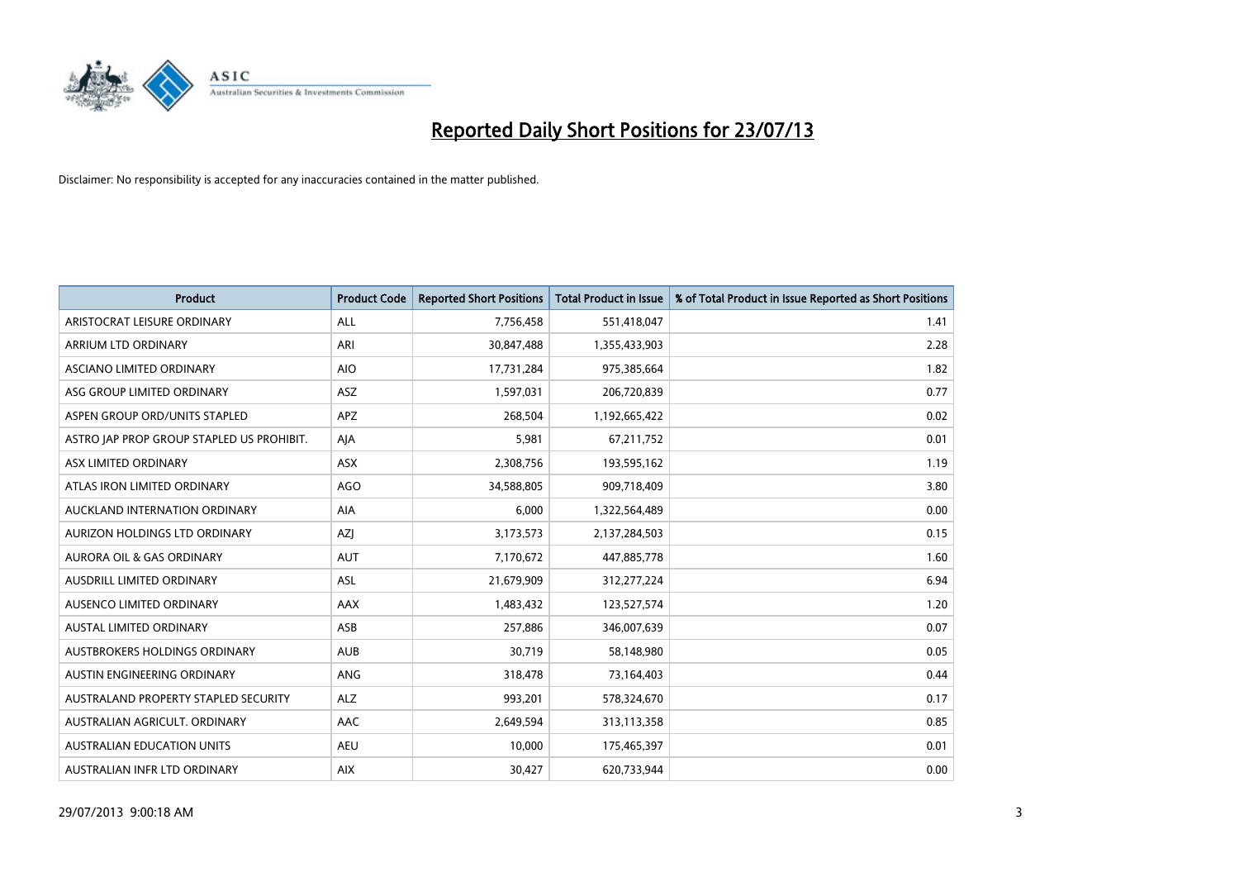

| Product                                   | <b>Product Code</b> | <b>Reported Short Positions</b> | <b>Total Product in Issue</b> | % of Total Product in Issue Reported as Short Positions |
|-------------------------------------------|---------------------|---------------------------------|-------------------------------|---------------------------------------------------------|
| ARISTOCRAT LEISURE ORDINARY               | <b>ALL</b>          | 7,756,458                       | 551,418,047                   | 1.41                                                    |
| ARRIUM LTD ORDINARY                       | <b>ARI</b>          | 30,847,488                      | 1,355,433,903                 | 2.28                                                    |
| ASCIANO LIMITED ORDINARY                  | <b>AIO</b>          | 17,731,284                      | 975,385,664                   | 1.82                                                    |
| ASG GROUP LIMITED ORDINARY                | ASZ                 | 1,597,031                       | 206,720,839                   | 0.77                                                    |
| ASPEN GROUP ORD/UNITS STAPLED             | <b>APZ</b>          | 268,504                         | 1,192,665,422                 | 0.02                                                    |
| ASTRO JAP PROP GROUP STAPLED US PROHIBIT. | AJA                 | 5,981                           | 67,211,752                    | 0.01                                                    |
| ASX LIMITED ORDINARY                      | ASX                 | 2,308,756                       | 193,595,162                   | 1.19                                                    |
| ATLAS IRON LIMITED ORDINARY               | <b>AGO</b>          | 34,588,805                      | 909,718,409                   | 3.80                                                    |
| AUCKLAND INTERNATION ORDINARY             | AIA                 | 6,000                           | 1,322,564,489                 | 0.00                                                    |
| <b>AURIZON HOLDINGS LTD ORDINARY</b>      | <b>AZI</b>          | 3,173,573                       | 2,137,284,503                 | 0.15                                                    |
| AURORA OIL & GAS ORDINARY                 | <b>AUT</b>          | 7,170,672                       | 447,885,778                   | 1.60                                                    |
| <b>AUSDRILL LIMITED ORDINARY</b>          | <b>ASL</b>          | 21,679,909                      | 312,277,224                   | 6.94                                                    |
| AUSENCO LIMITED ORDINARY                  | AAX                 | 1,483,432                       | 123,527,574                   | 1.20                                                    |
| <b>AUSTAL LIMITED ORDINARY</b>            | ASB                 | 257,886                         | 346,007,639                   | 0.07                                                    |
| AUSTBROKERS HOLDINGS ORDINARY             | <b>AUB</b>          | 30,719                          | 58,148,980                    | 0.05                                                    |
| AUSTIN ENGINEERING ORDINARY               | ANG                 | 318,478                         | 73,164,403                    | 0.44                                                    |
| AUSTRALAND PROPERTY STAPLED SECURITY      | <b>ALZ</b>          | 993,201                         | 578,324,670                   | 0.17                                                    |
| AUSTRALIAN AGRICULT. ORDINARY             | AAC                 | 2,649,594                       | 313,113,358                   | 0.85                                                    |
| <b>AUSTRALIAN EDUCATION UNITS</b>         | <b>AEU</b>          | 10,000                          | 175,465,397                   | 0.01                                                    |
| AUSTRALIAN INFR LTD ORDINARY              | <b>AIX</b>          | 30,427                          | 620,733,944                   | 0.00                                                    |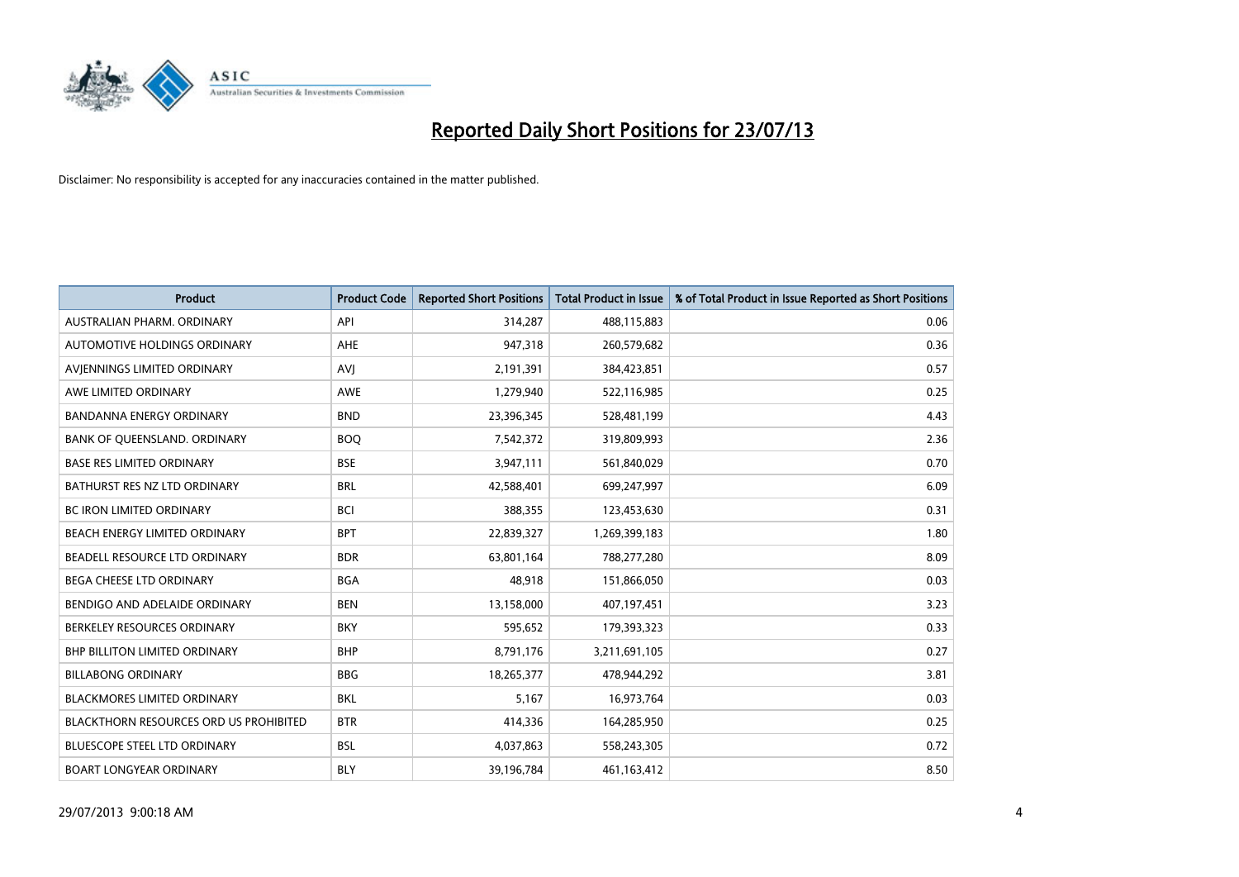

| <b>Product</b>                         | <b>Product Code</b> | <b>Reported Short Positions</b> | <b>Total Product in Issue</b> | % of Total Product in Issue Reported as Short Positions |
|----------------------------------------|---------------------|---------------------------------|-------------------------------|---------------------------------------------------------|
| AUSTRALIAN PHARM, ORDINARY             | API                 | 314,287                         | 488,115,883                   | 0.06                                                    |
| AUTOMOTIVE HOLDINGS ORDINARY           | AHE                 | 947,318                         | 260,579,682                   | 0.36                                                    |
| AVIENNINGS LIMITED ORDINARY            | <b>AVJ</b>          | 2,191,391                       | 384,423,851                   | 0.57                                                    |
| AWE LIMITED ORDINARY                   | AWE                 | 1,279,940                       | 522,116,985                   | 0.25                                                    |
| <b>BANDANNA ENERGY ORDINARY</b>        | <b>BND</b>          | 23,396,345                      | 528,481,199                   | 4.43                                                    |
| BANK OF QUEENSLAND. ORDINARY           | <b>BOO</b>          | 7,542,372                       | 319,809,993                   | 2.36                                                    |
| <b>BASE RES LIMITED ORDINARY</b>       | <b>BSE</b>          | 3,947,111                       | 561,840,029                   | 0.70                                                    |
| BATHURST RES NZ LTD ORDINARY           | <b>BRL</b>          | 42,588,401                      | 699,247,997                   | 6.09                                                    |
| BC IRON LIMITED ORDINARY               | <b>BCI</b>          | 388,355                         | 123,453,630                   | 0.31                                                    |
| BEACH ENERGY LIMITED ORDINARY          | <b>BPT</b>          | 22,839,327                      | 1,269,399,183                 | 1.80                                                    |
| BEADELL RESOURCE LTD ORDINARY          | <b>BDR</b>          | 63,801,164                      | 788,277,280                   | 8.09                                                    |
| <b>BEGA CHEESE LTD ORDINARY</b>        | <b>BGA</b>          | 48,918                          | 151,866,050                   | 0.03                                                    |
| BENDIGO AND ADELAIDE ORDINARY          | <b>BEN</b>          | 13,158,000                      | 407,197,451                   | 3.23                                                    |
| BERKELEY RESOURCES ORDINARY            | <b>BKY</b>          | 595,652                         | 179,393,323                   | 0.33                                                    |
| <b>BHP BILLITON LIMITED ORDINARY</b>   | <b>BHP</b>          | 8,791,176                       | 3,211,691,105                 | 0.27                                                    |
| <b>BILLABONG ORDINARY</b>              | <b>BBG</b>          | 18,265,377                      | 478,944,292                   | 3.81                                                    |
| <b>BLACKMORES LIMITED ORDINARY</b>     | <b>BKL</b>          | 5,167                           | 16,973,764                    | 0.03                                                    |
| BLACKTHORN RESOURCES ORD US PROHIBITED | <b>BTR</b>          | 414,336                         | 164,285,950                   | 0.25                                                    |
| <b>BLUESCOPE STEEL LTD ORDINARY</b>    | <b>BSL</b>          | 4,037,863                       | 558,243,305                   | 0.72                                                    |
| <b>BOART LONGYEAR ORDINARY</b>         | <b>BLY</b>          | 39,196,784                      | 461,163,412                   | 8.50                                                    |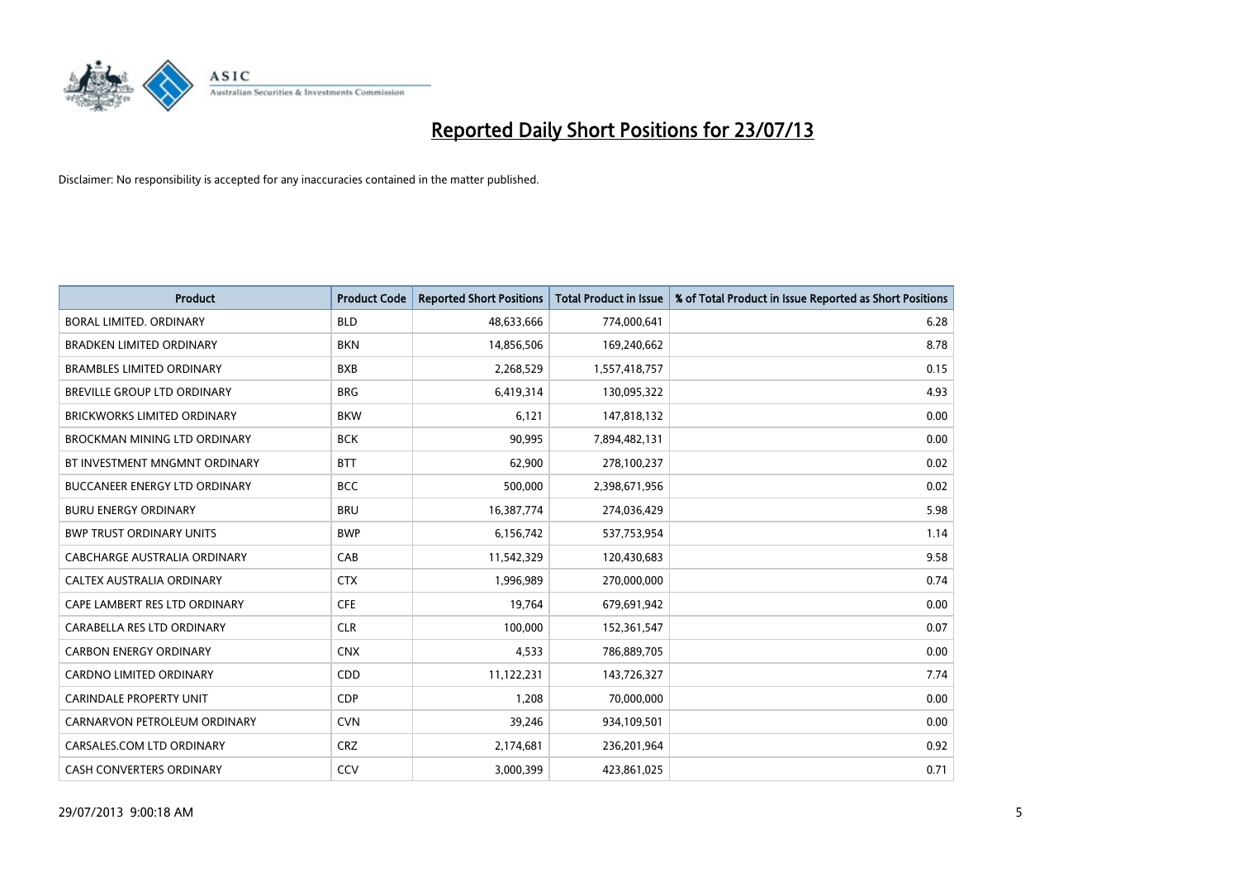

| <b>Product</b>                      | <b>Product Code</b> | <b>Reported Short Positions</b> | <b>Total Product in Issue</b> | % of Total Product in Issue Reported as Short Positions |
|-------------------------------------|---------------------|---------------------------------|-------------------------------|---------------------------------------------------------|
| <b>BORAL LIMITED, ORDINARY</b>      | <b>BLD</b>          | 48,633,666                      | 774,000,641                   | 6.28                                                    |
| <b>BRADKEN LIMITED ORDINARY</b>     | <b>BKN</b>          | 14,856,506                      | 169,240,662                   | 8.78                                                    |
| <b>BRAMBLES LIMITED ORDINARY</b>    | <b>BXB</b>          | 2,268,529                       | 1,557,418,757                 | 0.15                                                    |
| BREVILLE GROUP LTD ORDINARY         | <b>BRG</b>          | 6,419,314                       | 130,095,322                   | 4.93                                                    |
| <b>BRICKWORKS LIMITED ORDINARY</b>  | <b>BKW</b>          | 6,121                           | 147,818,132                   | 0.00                                                    |
| <b>BROCKMAN MINING LTD ORDINARY</b> | <b>BCK</b>          | 90,995                          | 7,894,482,131                 | 0.00                                                    |
| BT INVESTMENT MNGMNT ORDINARY       | <b>BTT</b>          | 62,900                          | 278,100,237                   | 0.02                                                    |
| BUCCANEER ENERGY LTD ORDINARY       | <b>BCC</b>          | 500,000                         | 2,398,671,956                 | 0.02                                                    |
| <b>BURU ENERGY ORDINARY</b>         | <b>BRU</b>          | 16,387,774                      | 274,036,429                   | 5.98                                                    |
| <b>BWP TRUST ORDINARY UNITS</b>     | <b>BWP</b>          | 6,156,742                       | 537,753,954                   | 1.14                                                    |
| CABCHARGE AUSTRALIA ORDINARY        | CAB                 | 11,542,329                      | 120,430,683                   | 9.58                                                    |
| <b>CALTEX AUSTRALIA ORDINARY</b>    | <b>CTX</b>          | 1,996,989                       | 270,000,000                   | 0.74                                                    |
| CAPE LAMBERT RES LTD ORDINARY       | <b>CFE</b>          | 19,764                          | 679,691,942                   | 0.00                                                    |
| CARABELLA RES LTD ORDINARY          | <b>CLR</b>          | 100,000                         | 152,361,547                   | 0.07                                                    |
| <b>CARBON ENERGY ORDINARY</b>       | <b>CNX</b>          | 4,533                           | 786,889,705                   | 0.00                                                    |
| CARDNO LIMITED ORDINARY             | CDD                 | 11,122,231                      | 143,726,327                   | 7.74                                                    |
| <b>CARINDALE PROPERTY UNIT</b>      | <b>CDP</b>          | 1,208                           | 70,000,000                    | 0.00                                                    |
| CARNARVON PETROLEUM ORDINARY        | <b>CVN</b>          | 39,246                          | 934,109,501                   | 0.00                                                    |
| CARSALES.COM LTD ORDINARY           | <b>CRZ</b>          | 2,174,681                       | 236,201,964                   | 0.92                                                    |
| CASH CONVERTERS ORDINARY            | CCV                 | 3,000,399                       | 423,861,025                   | 0.71                                                    |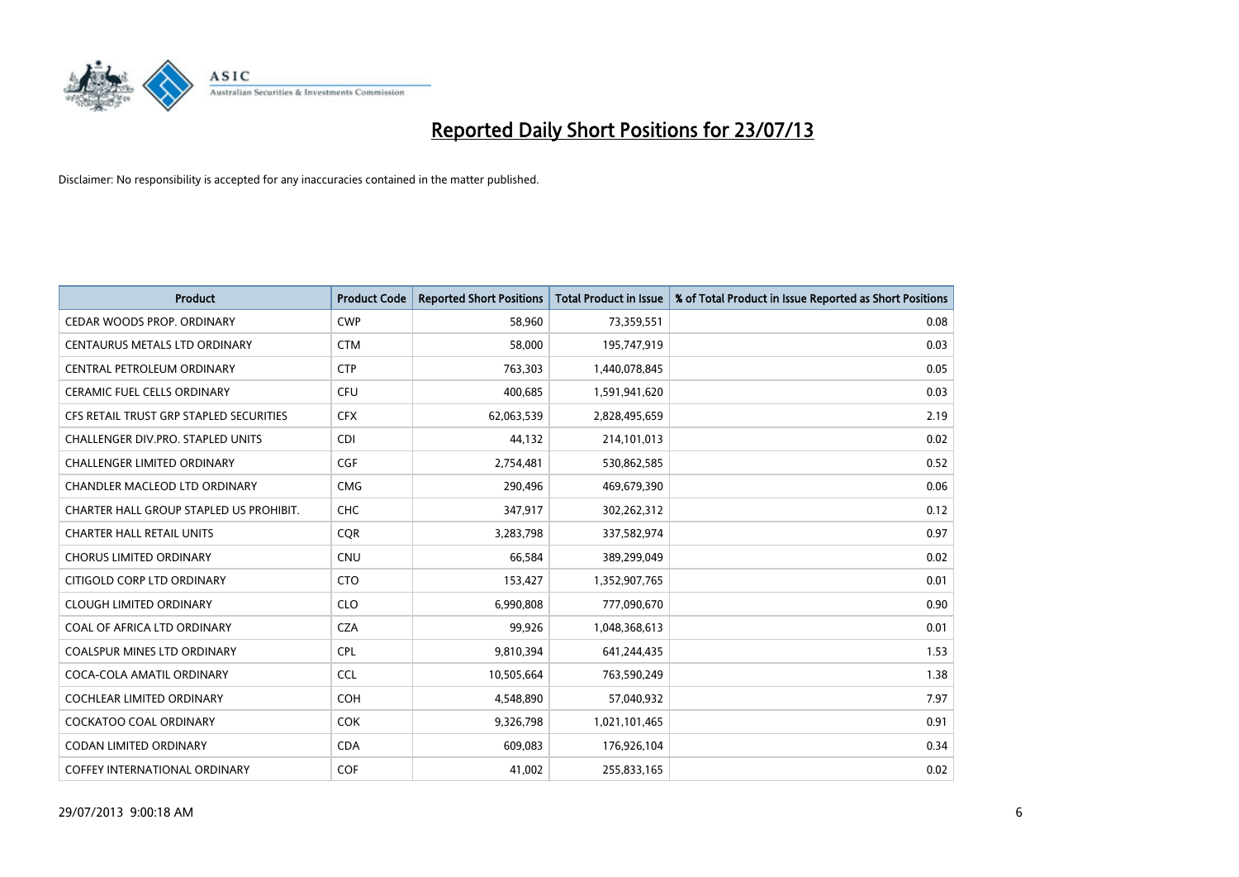

| <b>Product</b>                          | <b>Product Code</b> | <b>Reported Short Positions</b> | <b>Total Product in Issue</b> | % of Total Product in Issue Reported as Short Positions |
|-----------------------------------------|---------------------|---------------------------------|-------------------------------|---------------------------------------------------------|
| CEDAR WOODS PROP. ORDINARY              | <b>CWP</b>          | 58,960                          | 73,359,551                    | 0.08                                                    |
| CENTAURUS METALS LTD ORDINARY           | <b>CTM</b>          | 58,000                          | 195,747,919                   | 0.03                                                    |
| CENTRAL PETROLEUM ORDINARY              | <b>CTP</b>          | 763,303                         | 1,440,078,845                 | 0.05                                                    |
| CERAMIC FUEL CELLS ORDINARY             | <b>CFU</b>          | 400,685                         | 1,591,941,620                 | 0.03                                                    |
| CFS RETAIL TRUST GRP STAPLED SECURITIES | <b>CFX</b>          | 62,063,539                      | 2,828,495,659                 | 2.19                                                    |
| CHALLENGER DIV.PRO. STAPLED UNITS       | <b>CDI</b>          | 44,132                          | 214,101,013                   | 0.02                                                    |
| <b>CHALLENGER LIMITED ORDINARY</b>      | <b>CGF</b>          | 2,754,481                       | 530,862,585                   | 0.52                                                    |
| CHANDLER MACLEOD LTD ORDINARY           | <b>CMG</b>          | 290,496                         | 469,679,390                   | 0.06                                                    |
| CHARTER HALL GROUP STAPLED US PROHIBIT. | <b>CHC</b>          | 347,917                         | 302,262,312                   | 0.12                                                    |
| <b>CHARTER HALL RETAIL UNITS</b>        | <b>CQR</b>          | 3,283,798                       | 337,582,974                   | 0.97                                                    |
| CHORUS LIMITED ORDINARY                 | <b>CNU</b>          | 66,584                          | 389,299,049                   | 0.02                                                    |
| CITIGOLD CORP LTD ORDINARY              | <b>CTO</b>          | 153,427                         | 1,352,907,765                 | 0.01                                                    |
| <b>CLOUGH LIMITED ORDINARY</b>          | <b>CLO</b>          | 6,990,808                       | 777,090,670                   | 0.90                                                    |
| COAL OF AFRICA LTD ORDINARY             | <b>CZA</b>          | 99,926                          | 1,048,368,613                 | 0.01                                                    |
| COALSPUR MINES LTD ORDINARY             | <b>CPL</b>          | 9,810,394                       | 641,244,435                   | 1.53                                                    |
| COCA-COLA AMATIL ORDINARY               | <b>CCL</b>          | 10,505,664                      | 763,590,249                   | 1.38                                                    |
| COCHLEAR LIMITED ORDINARY               | <b>COH</b>          | 4,548,890                       | 57,040,932                    | 7.97                                                    |
| <b>COCKATOO COAL ORDINARY</b>           | <b>COK</b>          | 9,326,798                       | 1,021,101,465                 | 0.91                                                    |
| <b>CODAN LIMITED ORDINARY</b>           | <b>CDA</b>          | 609,083                         | 176,926,104                   | 0.34                                                    |
| <b>COFFEY INTERNATIONAL ORDINARY</b>    | <b>COF</b>          | 41,002                          | 255,833,165                   | 0.02                                                    |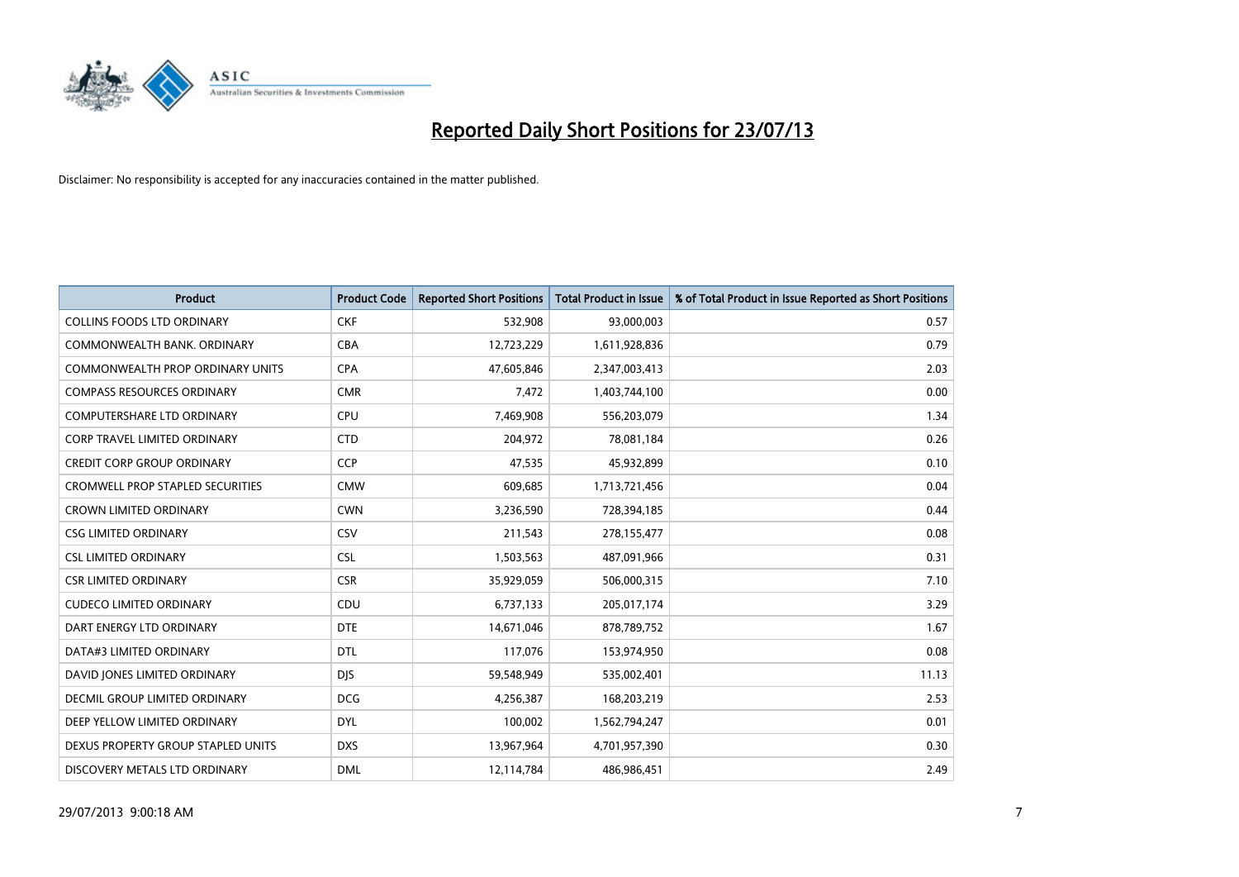

| <b>Product</b>                          | <b>Product Code</b> | <b>Reported Short Positions</b> | <b>Total Product in Issue</b> | % of Total Product in Issue Reported as Short Positions |
|-----------------------------------------|---------------------|---------------------------------|-------------------------------|---------------------------------------------------------|
| <b>COLLINS FOODS LTD ORDINARY</b>       | <b>CKF</b>          | 532,908                         | 93,000,003                    | 0.57                                                    |
| COMMONWEALTH BANK, ORDINARY             | <b>CBA</b>          | 12,723,229                      | 1,611,928,836                 | 0.79                                                    |
| <b>COMMONWEALTH PROP ORDINARY UNITS</b> | <b>CPA</b>          | 47,605,846                      | 2,347,003,413                 | 2.03                                                    |
| <b>COMPASS RESOURCES ORDINARY</b>       | <b>CMR</b>          | 7,472                           | 1,403,744,100                 | 0.00                                                    |
| <b>COMPUTERSHARE LTD ORDINARY</b>       | <b>CPU</b>          | 7,469,908                       | 556,203,079                   | 1.34                                                    |
| <b>CORP TRAVEL LIMITED ORDINARY</b>     | <b>CTD</b>          | 204,972                         | 78,081,184                    | 0.26                                                    |
| <b>CREDIT CORP GROUP ORDINARY</b>       | <b>CCP</b>          | 47,535                          | 45,932,899                    | 0.10                                                    |
| <b>CROMWELL PROP STAPLED SECURITIES</b> | <b>CMW</b>          | 609,685                         | 1,713,721,456                 | 0.04                                                    |
| <b>CROWN LIMITED ORDINARY</b>           | <b>CWN</b>          | 3,236,590                       | 728,394,185                   | 0.44                                                    |
| <b>CSG LIMITED ORDINARY</b>             | <b>CSV</b>          | 211,543                         | 278,155,477                   | 0.08                                                    |
| <b>CSL LIMITED ORDINARY</b>             | <b>CSL</b>          | 1,503,563                       | 487,091,966                   | 0.31                                                    |
| <b>CSR LIMITED ORDINARY</b>             | <b>CSR</b>          | 35,929,059                      | 506,000,315                   | 7.10                                                    |
| <b>CUDECO LIMITED ORDINARY</b>          | CDU                 | 6,737,133                       | 205,017,174                   | 3.29                                                    |
| DART ENERGY LTD ORDINARY                | <b>DTE</b>          | 14,671,046                      | 878,789,752                   | 1.67                                                    |
| DATA#3 LIMITED ORDINARY                 | <b>DTL</b>          | 117,076                         | 153,974,950                   | 0.08                                                    |
| DAVID JONES LIMITED ORDINARY            | <b>DIS</b>          | 59,548,949                      | 535,002,401                   | 11.13                                                   |
| DECMIL GROUP LIMITED ORDINARY           | <b>DCG</b>          | 4,256,387                       | 168,203,219                   | 2.53                                                    |
| DEEP YELLOW LIMITED ORDINARY            | <b>DYL</b>          | 100,002                         | 1,562,794,247                 | 0.01                                                    |
| DEXUS PROPERTY GROUP STAPLED UNITS      | <b>DXS</b>          | 13,967,964                      | 4,701,957,390                 | 0.30                                                    |
| DISCOVERY METALS LTD ORDINARY           | <b>DML</b>          | 12,114,784                      | 486,986,451                   | 2.49                                                    |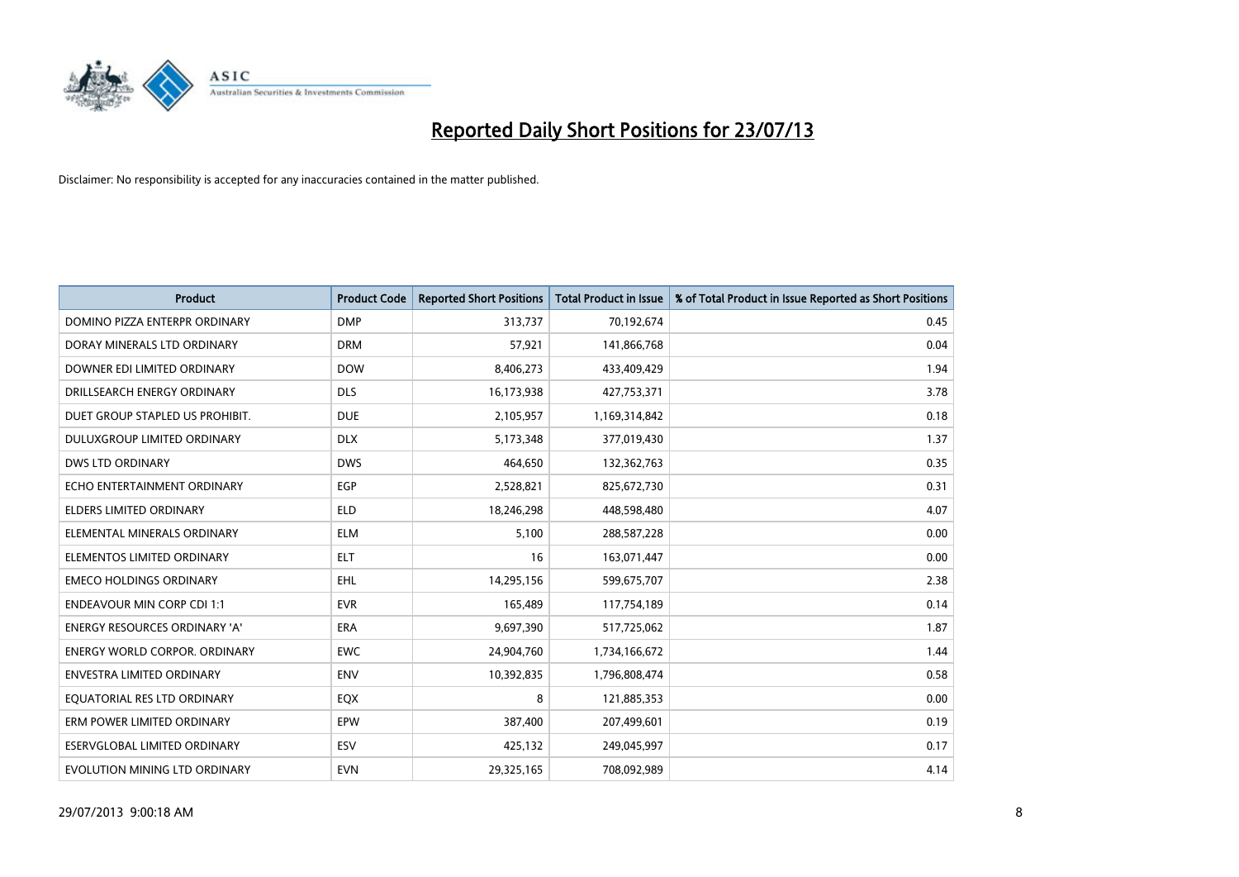

| <b>Product</b>                       | <b>Product Code</b> | <b>Reported Short Positions</b> | <b>Total Product in Issue</b> | % of Total Product in Issue Reported as Short Positions |
|--------------------------------------|---------------------|---------------------------------|-------------------------------|---------------------------------------------------------|
| DOMINO PIZZA ENTERPR ORDINARY        | <b>DMP</b>          | 313,737                         | 70,192,674                    | 0.45                                                    |
| DORAY MINERALS LTD ORDINARY          | <b>DRM</b>          | 57,921                          | 141,866,768                   | 0.04                                                    |
| DOWNER EDI LIMITED ORDINARY          | <b>DOW</b>          | 8,406,273                       | 433,409,429                   | 1.94                                                    |
| DRILLSEARCH ENERGY ORDINARY          | <b>DLS</b>          | 16,173,938                      | 427,753,371                   | 3.78                                                    |
| DUET GROUP STAPLED US PROHIBIT.      | <b>DUE</b>          | 2,105,957                       | 1,169,314,842                 | 0.18                                                    |
| <b>DULUXGROUP LIMITED ORDINARY</b>   | <b>DLX</b>          | 5,173,348                       | 377,019,430                   | 1.37                                                    |
| <b>DWS LTD ORDINARY</b>              | <b>DWS</b>          | 464,650                         | 132,362,763                   | 0.35                                                    |
| ECHO ENTERTAINMENT ORDINARY          | <b>EGP</b>          | 2,528,821                       | 825,672,730                   | 0.31                                                    |
| <b>ELDERS LIMITED ORDINARY</b>       | <b>ELD</b>          | 18,246,298                      | 448,598,480                   | 4.07                                                    |
| ELEMENTAL MINERALS ORDINARY          | <b>ELM</b>          | 5,100                           | 288,587,228                   | 0.00                                                    |
| ELEMENTOS LIMITED ORDINARY           | ELT                 | 16                              | 163,071,447                   | 0.00                                                    |
| <b>EMECO HOLDINGS ORDINARY</b>       | <b>EHL</b>          | 14,295,156                      | 599,675,707                   | 2.38                                                    |
| <b>ENDEAVOUR MIN CORP CDI 1:1</b>    | <b>EVR</b>          | 165,489                         | 117,754,189                   | 0.14                                                    |
| <b>ENERGY RESOURCES ORDINARY 'A'</b> | ERA                 | 9,697,390                       | 517,725,062                   | 1.87                                                    |
| <b>ENERGY WORLD CORPOR, ORDINARY</b> | <b>EWC</b>          | 24,904,760                      | 1,734,166,672                 | 1.44                                                    |
| <b>ENVESTRA LIMITED ORDINARY</b>     | <b>ENV</b>          | 10,392,835                      | 1,796,808,474                 | 0.58                                                    |
| EQUATORIAL RES LTD ORDINARY          | EQX                 | 8                               | 121,885,353                   | 0.00                                                    |
| ERM POWER LIMITED ORDINARY           | EPW                 | 387,400                         | 207,499,601                   | 0.19                                                    |
| <b>ESERVGLOBAL LIMITED ORDINARY</b>  | ESV                 | 425,132                         | 249,045,997                   | 0.17                                                    |
| EVOLUTION MINING LTD ORDINARY        | <b>EVN</b>          | 29,325,165                      | 708,092,989                   | 4.14                                                    |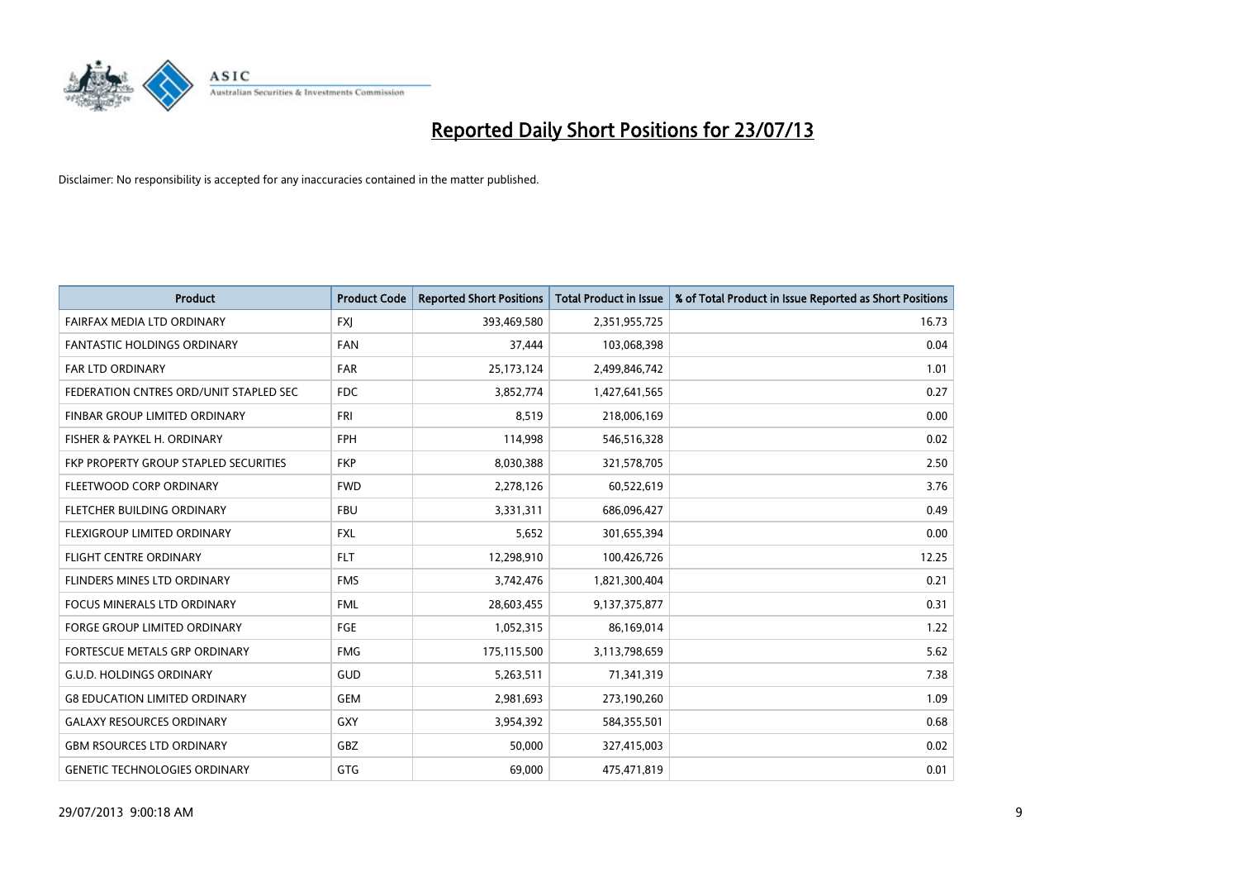

| <b>Product</b>                         | <b>Product Code</b> | <b>Reported Short Positions</b> | <b>Total Product in Issue</b> | % of Total Product in Issue Reported as Short Positions |
|----------------------------------------|---------------------|---------------------------------|-------------------------------|---------------------------------------------------------|
| FAIRFAX MEDIA LTD ORDINARY             | <b>FXJ</b>          | 393,469,580                     | 2,351,955,725                 | 16.73                                                   |
| <b>FANTASTIC HOLDINGS ORDINARY</b>     | <b>FAN</b>          | 37,444                          | 103,068,398                   | 0.04                                                    |
| <b>FAR LTD ORDINARY</b>                | <b>FAR</b>          | 25,173,124                      | 2,499,846,742                 | 1.01                                                    |
| FEDERATION CNTRES ORD/UNIT STAPLED SEC | <b>FDC</b>          | 3,852,774                       | 1,427,641,565                 | 0.27                                                    |
| FINBAR GROUP LIMITED ORDINARY          | <b>FRI</b>          | 8,519                           | 218,006,169                   | 0.00                                                    |
| FISHER & PAYKEL H. ORDINARY            | <b>FPH</b>          | 114,998                         | 546,516,328                   | 0.02                                                    |
| FKP PROPERTY GROUP STAPLED SECURITIES  | <b>FKP</b>          | 8,030,388                       | 321,578,705                   | 2.50                                                    |
| FLEETWOOD CORP ORDINARY                | <b>FWD</b>          | 2,278,126                       | 60,522,619                    | 3.76                                                    |
| FLETCHER BUILDING ORDINARY             | <b>FBU</b>          | 3,331,311                       | 686,096,427                   | 0.49                                                    |
| FLEXIGROUP LIMITED ORDINARY            | <b>FXL</b>          | 5,652                           | 301,655,394                   | 0.00                                                    |
| <b>FLIGHT CENTRE ORDINARY</b>          | <b>FLT</b>          | 12,298,910                      | 100,426,726                   | 12.25                                                   |
| FLINDERS MINES LTD ORDINARY            | <b>FMS</b>          | 3,742,476                       | 1,821,300,404                 | 0.21                                                    |
| <b>FOCUS MINERALS LTD ORDINARY</b>     | <b>FML</b>          | 28,603,455                      | 9,137,375,877                 | 0.31                                                    |
| <b>FORGE GROUP LIMITED ORDINARY</b>    | FGE                 | 1,052,315                       | 86,169,014                    | 1.22                                                    |
| FORTESCUE METALS GRP ORDINARY          | <b>FMG</b>          | 175,115,500                     | 3,113,798,659                 | 5.62                                                    |
| <b>G.U.D. HOLDINGS ORDINARY</b>        | GUD                 | 5,263,511                       | 71,341,319                    | 7.38                                                    |
| <b>G8 EDUCATION LIMITED ORDINARY</b>   | <b>GEM</b>          | 2,981,693                       | 273,190,260                   | 1.09                                                    |
| <b>GALAXY RESOURCES ORDINARY</b>       | GXY                 | 3,954,392                       | 584,355,501                   | 0.68                                                    |
| <b>GBM RSOURCES LTD ORDINARY</b>       | GBZ                 | 50,000                          | 327,415,003                   | 0.02                                                    |
| <b>GENETIC TECHNOLOGIES ORDINARY</b>   | GTG                 | 69,000                          | 475,471,819                   | 0.01                                                    |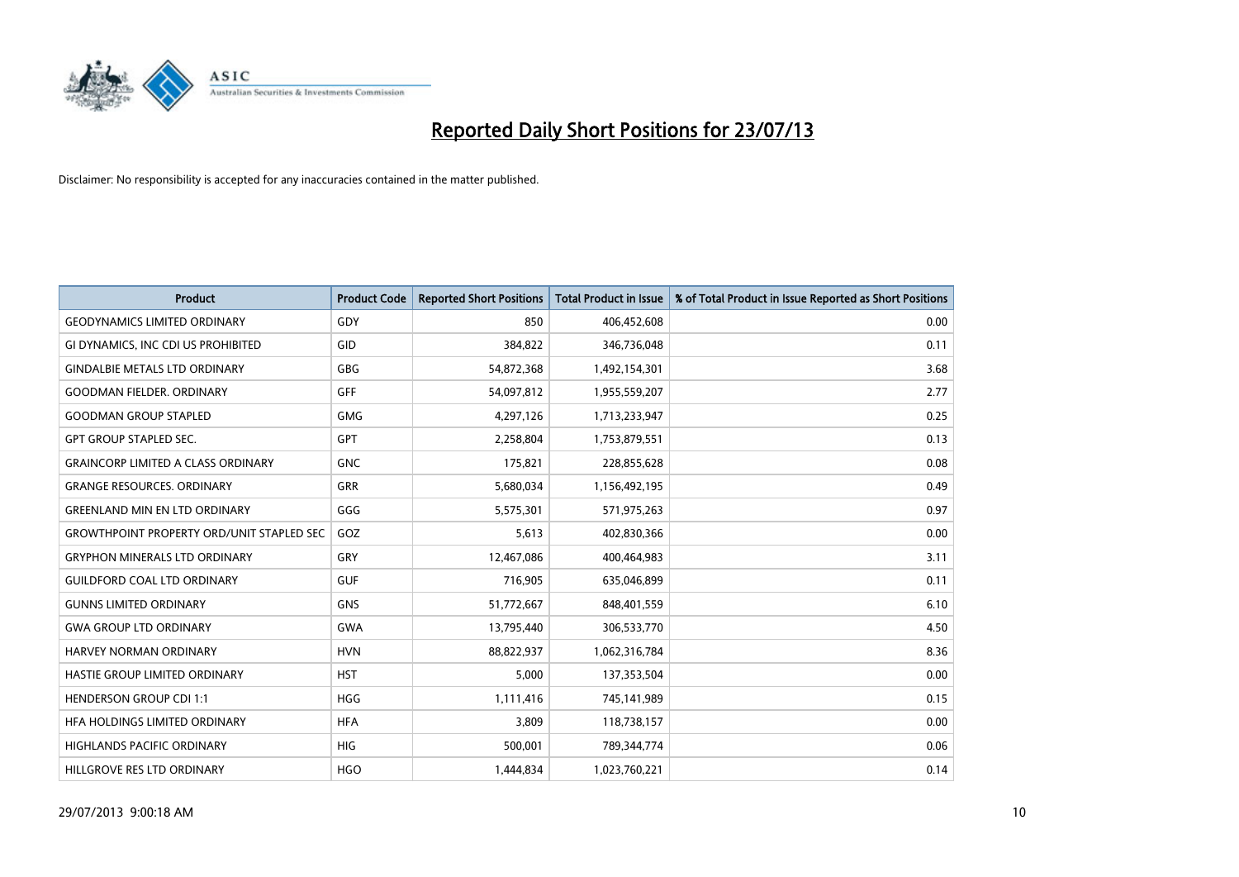

| <b>Product</b>                                   | <b>Product Code</b> | <b>Reported Short Positions</b> | <b>Total Product in Issue</b> | % of Total Product in Issue Reported as Short Positions |
|--------------------------------------------------|---------------------|---------------------------------|-------------------------------|---------------------------------------------------------|
| <b>GEODYNAMICS LIMITED ORDINARY</b>              | GDY                 | 850                             | 406,452,608                   | 0.00                                                    |
| GI DYNAMICS, INC CDI US PROHIBITED               | GID                 | 384,822                         | 346,736,048                   | 0.11                                                    |
| <b>GINDALBIE METALS LTD ORDINARY</b>             | GBG                 | 54,872,368                      | 1,492,154,301                 | 3.68                                                    |
| <b>GOODMAN FIELDER, ORDINARY</b>                 | <b>GFF</b>          | 54,097,812                      | 1,955,559,207                 | 2.77                                                    |
| <b>GOODMAN GROUP STAPLED</b>                     | <b>GMG</b>          | 4,297,126                       | 1,713,233,947                 | 0.25                                                    |
| <b>GPT GROUP STAPLED SEC.</b>                    | <b>GPT</b>          | 2,258,804                       | 1,753,879,551                 | 0.13                                                    |
| <b>GRAINCORP LIMITED A CLASS ORDINARY</b>        | <b>GNC</b>          | 175,821                         | 228,855,628                   | 0.08                                                    |
| <b>GRANGE RESOURCES. ORDINARY</b>                | GRR                 | 5,680,034                       | 1,156,492,195                 | 0.49                                                    |
| <b>GREENLAND MIN EN LTD ORDINARY</b>             | GGG                 | 5,575,301                       | 571,975,263                   | 0.97                                                    |
| <b>GROWTHPOINT PROPERTY ORD/UNIT STAPLED SEC</b> | GOZ                 | 5,613                           | 402,830,366                   | 0.00                                                    |
| <b>GRYPHON MINERALS LTD ORDINARY</b>             | GRY                 | 12,467,086                      | 400,464,983                   | 3.11                                                    |
| <b>GUILDFORD COAL LTD ORDINARY</b>               | <b>GUF</b>          | 716,905                         | 635,046,899                   | 0.11                                                    |
| <b>GUNNS LIMITED ORDINARY</b>                    | <b>GNS</b>          | 51,772,667                      | 848,401,559                   | 6.10                                                    |
| <b>GWA GROUP LTD ORDINARY</b>                    | <b>GWA</b>          | 13,795,440                      | 306,533,770                   | 4.50                                                    |
| HARVEY NORMAN ORDINARY                           | <b>HVN</b>          | 88,822,937                      | 1,062,316,784                 | 8.36                                                    |
| <b>HASTIE GROUP LIMITED ORDINARY</b>             | <b>HST</b>          | 5,000                           | 137,353,504                   | 0.00                                                    |
| <b>HENDERSON GROUP CDI 1:1</b>                   | <b>HGG</b>          | 1,111,416                       | 745,141,989                   | 0.15                                                    |
| HFA HOLDINGS LIMITED ORDINARY                    | <b>HFA</b>          | 3,809                           | 118,738,157                   | 0.00                                                    |
| <b>HIGHLANDS PACIFIC ORDINARY</b>                | <b>HIG</b>          | 500,001                         | 789,344,774                   | 0.06                                                    |
| HILLGROVE RES LTD ORDINARY                       | <b>HGO</b>          | 1,444,834                       | 1,023,760,221                 | 0.14                                                    |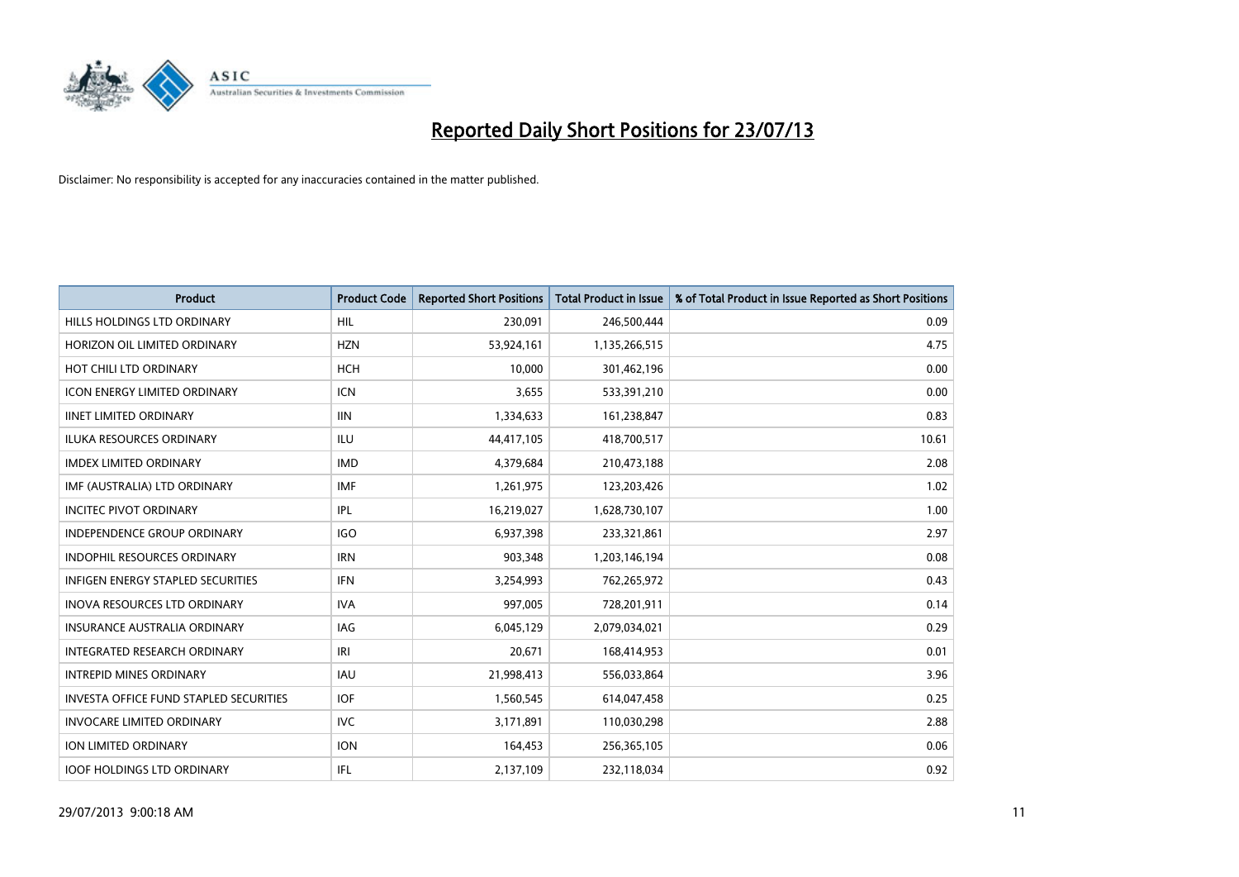

| <b>Product</b>                           | <b>Product Code</b> | <b>Reported Short Positions</b> | <b>Total Product in Issue</b> | % of Total Product in Issue Reported as Short Positions |
|------------------------------------------|---------------------|---------------------------------|-------------------------------|---------------------------------------------------------|
| HILLS HOLDINGS LTD ORDINARY              | <b>HIL</b>          | 230,091                         | 246,500,444                   | 0.09                                                    |
| HORIZON OIL LIMITED ORDINARY             | <b>HZN</b>          | 53,924,161                      | 1,135,266,515                 | 4.75                                                    |
| HOT CHILI LTD ORDINARY                   | <b>HCH</b>          | 10,000                          | 301,462,196                   | 0.00                                                    |
| <b>ICON ENERGY LIMITED ORDINARY</b>      | <b>ICN</b>          | 3,655                           | 533,391,210                   | 0.00                                                    |
| <b>IINET LIMITED ORDINARY</b>            | <b>IIN</b>          | 1,334,633                       | 161,238,847                   | 0.83                                                    |
| <b>ILUKA RESOURCES ORDINARY</b>          | <b>ILU</b>          | 44,417,105                      | 418,700,517                   | 10.61                                                   |
| <b>IMDEX LIMITED ORDINARY</b>            | <b>IMD</b>          | 4,379,684                       | 210,473,188                   | 2.08                                                    |
| IMF (AUSTRALIA) LTD ORDINARY             | <b>IMF</b>          | 1,261,975                       | 123,203,426                   | 1.02                                                    |
| <b>INCITEC PIVOT ORDINARY</b>            | <b>IPL</b>          | 16,219,027                      | 1,628,730,107                 | 1.00                                                    |
| <b>INDEPENDENCE GROUP ORDINARY</b>       | <b>IGO</b>          | 6,937,398                       | 233,321,861                   | 2.97                                                    |
| INDOPHIL RESOURCES ORDINARY              | <b>IRN</b>          | 903,348                         | 1,203,146,194                 | 0.08                                                    |
| <b>INFIGEN ENERGY STAPLED SECURITIES</b> | <b>IFN</b>          | 3,254,993                       | 762,265,972                   | 0.43                                                    |
| INOVA RESOURCES LTD ORDINARY             | <b>IVA</b>          | 997,005                         | 728,201,911                   | 0.14                                                    |
| <b>INSURANCE AUSTRALIA ORDINARY</b>      | IAG                 | 6,045,129                       | 2,079,034,021                 | 0.29                                                    |
| INTEGRATED RESEARCH ORDINARY             | IRI                 | 20,671                          | 168,414,953                   | 0.01                                                    |
| <b>INTREPID MINES ORDINARY</b>           | <b>IAU</b>          | 21,998,413                      | 556,033,864                   | 3.96                                                    |
| INVESTA OFFICE FUND STAPLED SECURITIES   | <b>IOF</b>          | 1,560,545                       | 614,047,458                   | 0.25                                                    |
| <b>INVOCARE LIMITED ORDINARY</b>         | IVC.                | 3,171,891                       | 110,030,298                   | 2.88                                                    |
| ION LIMITED ORDINARY                     | <b>ION</b>          | 164,453                         | 256,365,105                   | 0.06                                                    |
| <b>IOOF HOLDINGS LTD ORDINARY</b>        | IFL                 | 2,137,109                       | 232,118,034                   | 0.92                                                    |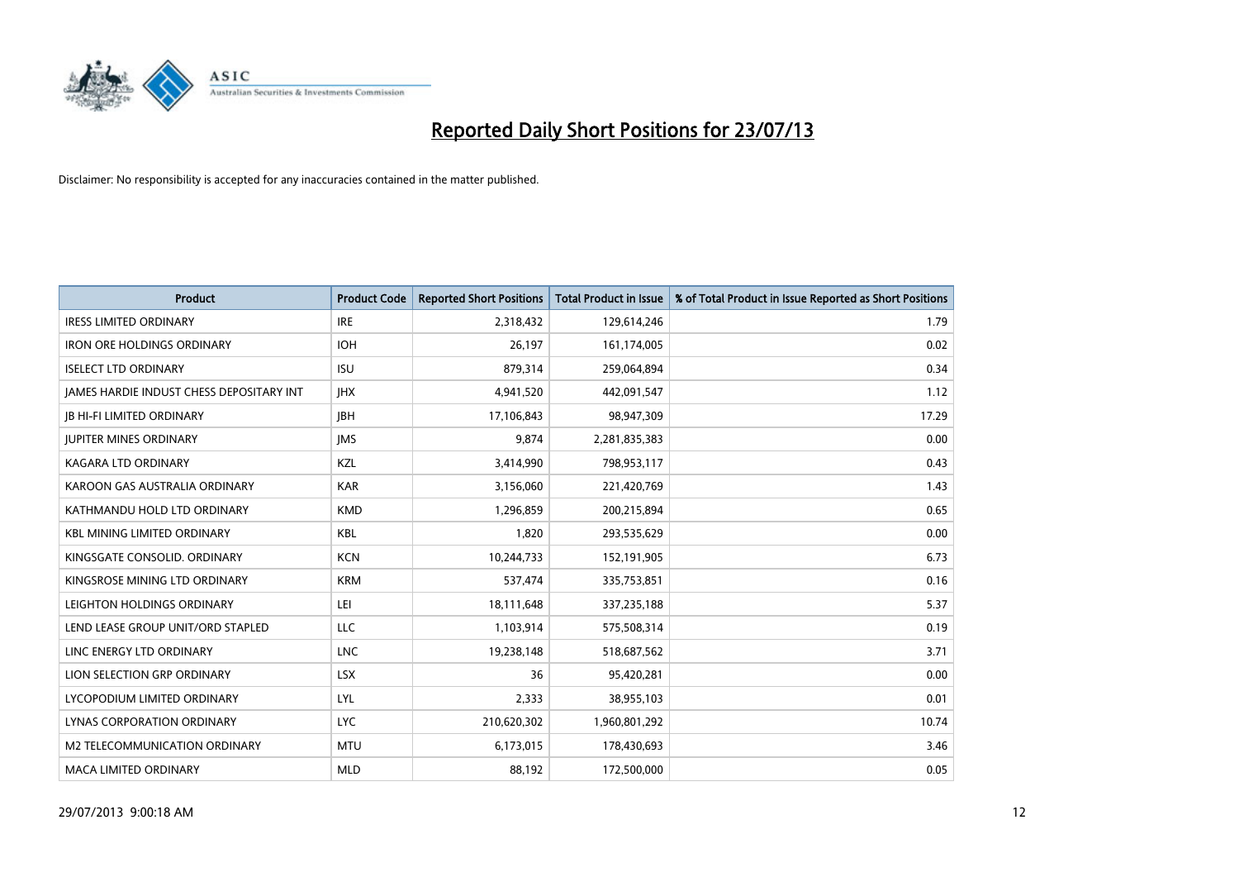

| <b>Product</b>                           | <b>Product Code</b> | <b>Reported Short Positions</b> | <b>Total Product in Issue</b> | % of Total Product in Issue Reported as Short Positions |
|------------------------------------------|---------------------|---------------------------------|-------------------------------|---------------------------------------------------------|
| <b>IRESS LIMITED ORDINARY</b>            | <b>IRE</b>          | 2,318,432                       | 129,614,246                   | 1.79                                                    |
| <b>IRON ORE HOLDINGS ORDINARY</b>        | <b>IOH</b>          | 26,197                          | 161,174,005                   | 0.02                                                    |
| <b>ISELECT LTD ORDINARY</b>              | <b>ISU</b>          | 879,314                         | 259,064,894                   | 0.34                                                    |
| JAMES HARDIE INDUST CHESS DEPOSITARY INT | <b>IHX</b>          | 4,941,520                       | 442,091,547                   | 1.12                                                    |
| <b>JB HI-FI LIMITED ORDINARY</b>         | <b>IBH</b>          | 17,106,843                      | 98,947,309                    | 17.29                                                   |
| <b>JUPITER MINES ORDINARY</b>            | <b>IMS</b>          | 9,874                           | 2,281,835,383                 | 0.00                                                    |
| <b>KAGARA LTD ORDINARY</b>               | KZL                 | 3,414,990                       | 798,953,117                   | 0.43                                                    |
| KAROON GAS AUSTRALIA ORDINARY            | <b>KAR</b>          | 3,156,060                       | 221,420,769                   | 1.43                                                    |
| KATHMANDU HOLD LTD ORDINARY              | <b>KMD</b>          | 1,296,859                       | 200,215,894                   | 0.65                                                    |
| <b>KBL MINING LIMITED ORDINARY</b>       | <b>KBL</b>          | 1,820                           | 293,535,629                   | 0.00                                                    |
| KINGSGATE CONSOLID. ORDINARY             | <b>KCN</b>          | 10,244,733                      | 152,191,905                   | 6.73                                                    |
| KINGSROSE MINING LTD ORDINARY            | <b>KRM</b>          | 537,474                         | 335,753,851                   | 0.16                                                    |
| LEIGHTON HOLDINGS ORDINARY               | LEI                 | 18,111,648                      | 337,235,188                   | 5.37                                                    |
| LEND LEASE GROUP UNIT/ORD STAPLED        | LLC                 | 1,103,914                       | 575,508,314                   | 0.19                                                    |
| LINC ENERGY LTD ORDINARY                 | <b>LNC</b>          | 19,238,148                      | 518,687,562                   | 3.71                                                    |
| LION SELECTION GRP ORDINARY              | <b>LSX</b>          | 36                              | 95,420,281                    | 0.00                                                    |
| LYCOPODIUM LIMITED ORDINARY              | <b>LYL</b>          | 2,333                           | 38,955,103                    | 0.01                                                    |
| LYNAS CORPORATION ORDINARY               | <b>LYC</b>          | 210,620,302                     | 1,960,801,292                 | 10.74                                                   |
| M2 TELECOMMUNICATION ORDINARY            | <b>MTU</b>          | 6,173,015                       | 178,430,693                   | 3.46                                                    |
| <b>MACA LIMITED ORDINARY</b>             | <b>MLD</b>          | 88,192                          | 172,500,000                   | 0.05                                                    |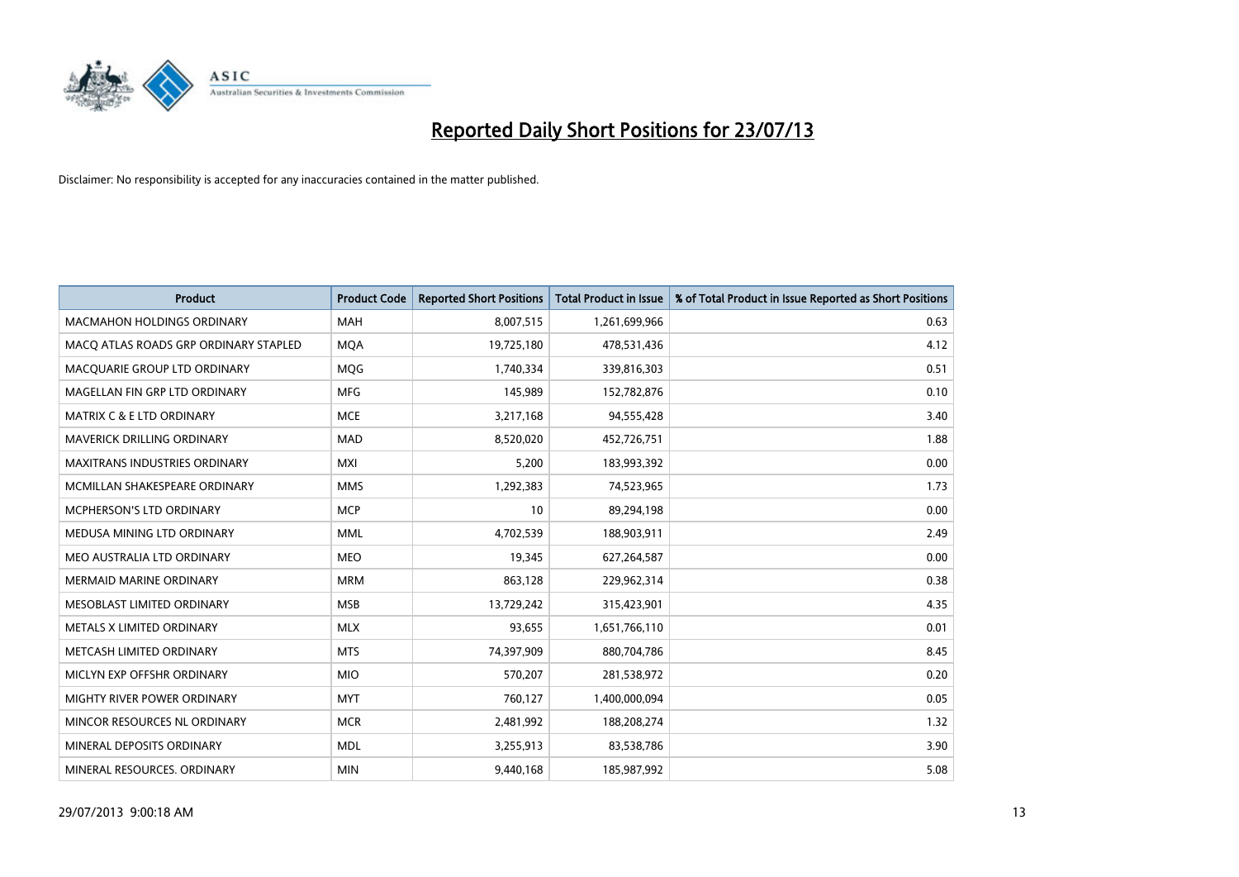

| <b>Product</b>                        | <b>Product Code</b> | <b>Reported Short Positions</b> | <b>Total Product in Issue</b> | % of Total Product in Issue Reported as Short Positions |
|---------------------------------------|---------------------|---------------------------------|-------------------------------|---------------------------------------------------------|
| <b>MACMAHON HOLDINGS ORDINARY</b>     | <b>MAH</b>          | 8,007,515                       | 1,261,699,966                 | 0.63                                                    |
| MACQ ATLAS ROADS GRP ORDINARY STAPLED | <b>MQA</b>          | 19,725,180                      | 478,531,436                   | 4.12                                                    |
| MACQUARIE GROUP LTD ORDINARY          | <b>MOG</b>          | 1,740,334                       | 339,816,303                   | 0.51                                                    |
| MAGELLAN FIN GRP LTD ORDINARY         | <b>MFG</b>          | 145,989                         | 152,782,876                   | 0.10                                                    |
| <b>MATRIX C &amp; E LTD ORDINARY</b>  | <b>MCE</b>          | 3,217,168                       | 94,555,428                    | 3.40                                                    |
| MAVERICK DRILLING ORDINARY            | <b>MAD</b>          | 8,520,020                       | 452,726,751                   | 1.88                                                    |
| MAXITRANS INDUSTRIES ORDINARY         | <b>MXI</b>          | 5,200                           | 183,993,392                   | 0.00                                                    |
| MCMILLAN SHAKESPEARE ORDINARY         | <b>MMS</b>          | 1,292,383                       | 74,523,965                    | 1.73                                                    |
| <b>MCPHERSON'S LTD ORDINARY</b>       | <b>MCP</b>          | 10                              | 89,294,198                    | 0.00                                                    |
| MEDUSA MINING LTD ORDINARY            | <b>MML</b>          | 4,702,539                       | 188,903,911                   | 2.49                                                    |
| MEO AUSTRALIA LTD ORDINARY            | <b>MEO</b>          | 19,345                          | 627,264,587                   | 0.00                                                    |
| <b>MERMAID MARINE ORDINARY</b>        | <b>MRM</b>          | 863,128                         | 229,962,314                   | 0.38                                                    |
| MESOBLAST LIMITED ORDINARY            | <b>MSB</b>          | 13,729,242                      | 315,423,901                   | 4.35                                                    |
| METALS X LIMITED ORDINARY             | <b>MLX</b>          | 93,655                          | 1,651,766,110                 | 0.01                                                    |
| METCASH LIMITED ORDINARY              | <b>MTS</b>          | 74,397,909                      | 880,704,786                   | 8.45                                                    |
| MICLYN EXP OFFSHR ORDINARY            | <b>MIO</b>          | 570,207                         | 281,538,972                   | 0.20                                                    |
| MIGHTY RIVER POWER ORDINARY           | <b>MYT</b>          | 760,127                         | 1,400,000,094                 | 0.05                                                    |
| MINCOR RESOURCES NL ORDINARY          | <b>MCR</b>          | 2,481,992                       | 188,208,274                   | 1.32                                                    |
| MINERAL DEPOSITS ORDINARY             | <b>MDL</b>          | 3,255,913                       | 83,538,786                    | 3.90                                                    |
| MINERAL RESOURCES, ORDINARY           | <b>MIN</b>          | 9,440,168                       | 185,987,992                   | 5.08                                                    |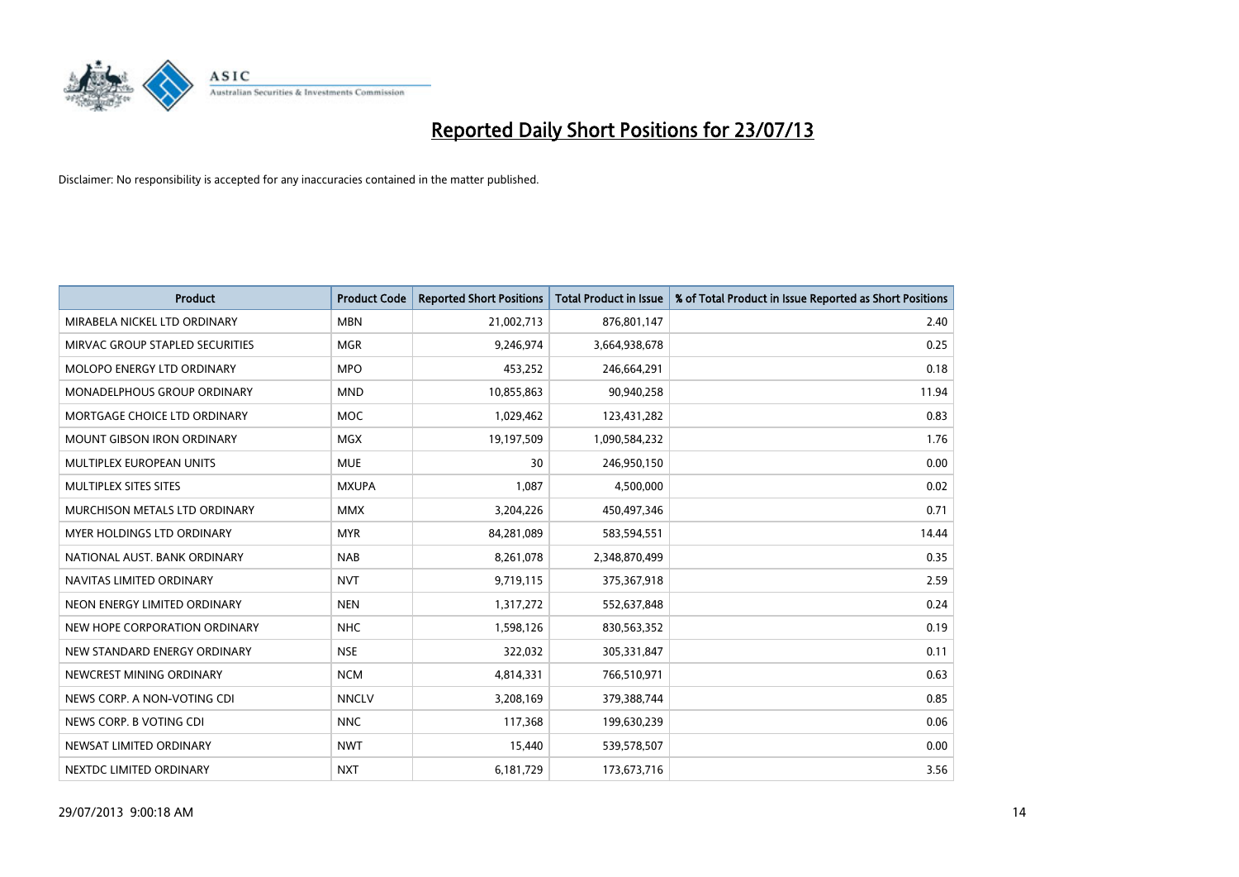

| <b>Product</b>                     | <b>Product Code</b> | <b>Reported Short Positions</b> | <b>Total Product in Issue</b> | % of Total Product in Issue Reported as Short Positions |
|------------------------------------|---------------------|---------------------------------|-------------------------------|---------------------------------------------------------|
| MIRABELA NICKEL LTD ORDINARY       | <b>MBN</b>          | 21,002,713                      | 876,801,147                   | 2.40                                                    |
| MIRVAC GROUP STAPLED SECURITIES    | <b>MGR</b>          | 9,246,974                       | 3,664,938,678                 | 0.25                                                    |
| MOLOPO ENERGY LTD ORDINARY         | <b>MPO</b>          | 453,252                         | 246,664,291                   | 0.18                                                    |
| <b>MONADELPHOUS GROUP ORDINARY</b> | <b>MND</b>          | 10,855,863                      | 90,940,258                    | 11.94                                                   |
| MORTGAGE CHOICE LTD ORDINARY       | MOC                 | 1,029,462                       | 123,431,282                   | 0.83                                                    |
| <b>MOUNT GIBSON IRON ORDINARY</b>  | <b>MGX</b>          | 19,197,509                      | 1,090,584,232                 | 1.76                                                    |
| <b>MULTIPLEX EUROPEAN UNITS</b>    | <b>MUE</b>          | 30                              | 246,950,150                   | 0.00                                                    |
| MULTIPLEX SITES SITES              | <b>MXUPA</b>        | 1,087                           | 4,500,000                     | 0.02                                                    |
| MURCHISON METALS LTD ORDINARY      | <b>MMX</b>          | 3,204,226                       | 450,497,346                   | 0.71                                                    |
| <b>MYER HOLDINGS LTD ORDINARY</b>  | <b>MYR</b>          | 84,281,089                      | 583,594,551                   | 14.44                                                   |
| NATIONAL AUST. BANK ORDINARY       | <b>NAB</b>          | 8,261,078                       | 2,348,870,499                 | 0.35                                                    |
| NAVITAS LIMITED ORDINARY           | <b>NVT</b>          | 9,719,115                       | 375,367,918                   | 2.59                                                    |
| NEON ENERGY LIMITED ORDINARY       | <b>NEN</b>          | 1,317,272                       | 552,637,848                   | 0.24                                                    |
| NEW HOPE CORPORATION ORDINARY      | <b>NHC</b>          | 1,598,126                       | 830,563,352                   | 0.19                                                    |
| NEW STANDARD ENERGY ORDINARY       | <b>NSE</b>          | 322,032                         | 305,331,847                   | 0.11                                                    |
| NEWCREST MINING ORDINARY           | <b>NCM</b>          | 4,814,331                       | 766,510,971                   | 0.63                                                    |
| NEWS CORP. A NON-VOTING CDI        | <b>NNCLV</b>        | 3,208,169                       | 379,388,744                   | 0.85                                                    |
| NEWS CORP. B VOTING CDI            | <b>NNC</b>          | 117,368                         | 199,630,239                   | 0.06                                                    |
| NEWSAT LIMITED ORDINARY            | <b>NWT</b>          | 15,440                          | 539,578,507                   | 0.00                                                    |
| NEXTDC LIMITED ORDINARY            | <b>NXT</b>          | 6,181,729                       | 173,673,716                   | 3.56                                                    |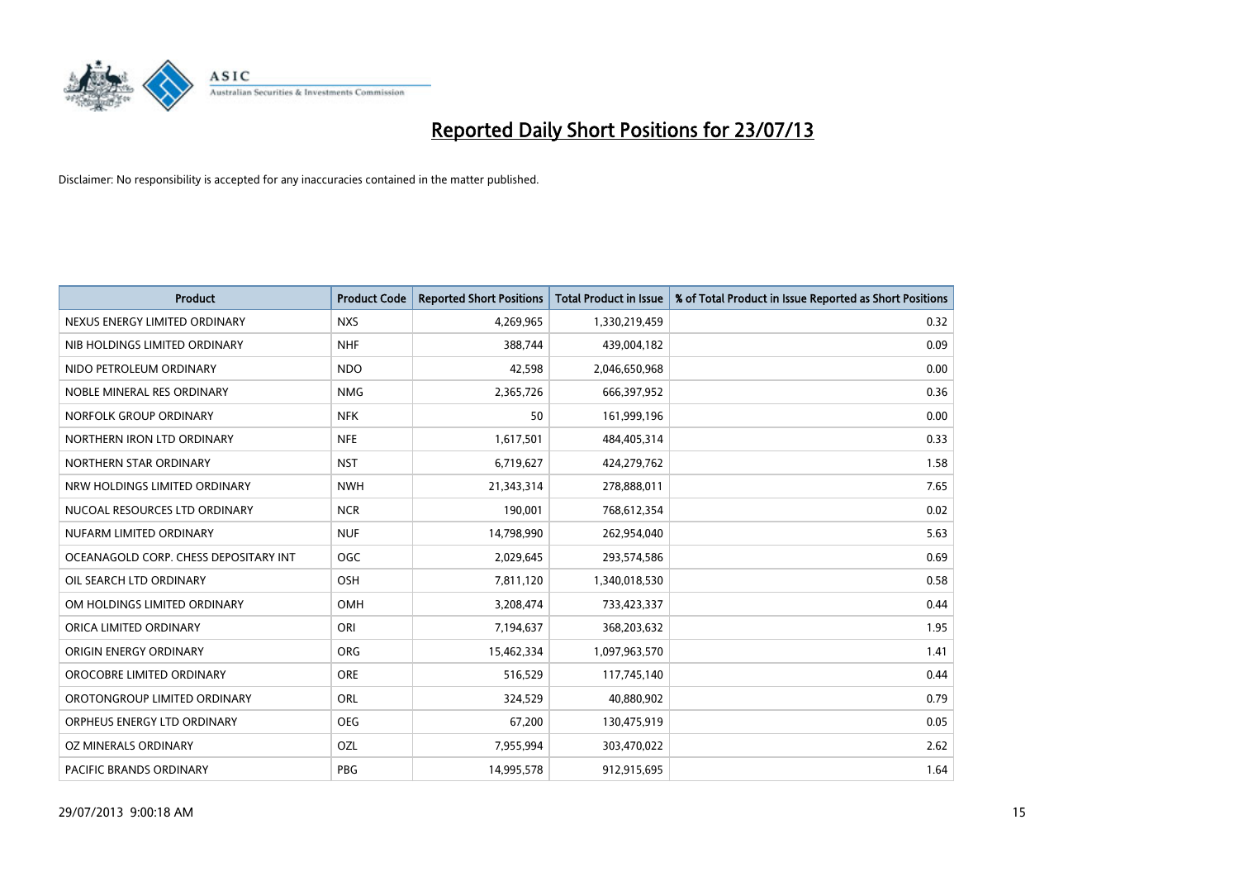

| <b>Product</b>                        | <b>Product Code</b> | <b>Reported Short Positions</b> | <b>Total Product in Issue</b> | % of Total Product in Issue Reported as Short Positions |
|---------------------------------------|---------------------|---------------------------------|-------------------------------|---------------------------------------------------------|
| NEXUS ENERGY LIMITED ORDINARY         | <b>NXS</b>          | 4,269,965                       | 1,330,219,459                 | 0.32                                                    |
| NIB HOLDINGS LIMITED ORDINARY         | <b>NHF</b>          | 388,744                         | 439,004,182                   | 0.09                                                    |
| NIDO PETROLEUM ORDINARY               | <b>NDO</b>          | 42,598                          | 2,046,650,968                 | 0.00                                                    |
| NOBLE MINERAL RES ORDINARY            | <b>NMG</b>          | 2,365,726                       | 666,397,952                   | 0.36                                                    |
| NORFOLK GROUP ORDINARY                | <b>NFK</b>          | 50                              | 161,999,196                   | 0.00                                                    |
| NORTHERN IRON LTD ORDINARY            | <b>NFE</b>          | 1,617,501                       | 484,405,314                   | 0.33                                                    |
| NORTHERN STAR ORDINARY                | <b>NST</b>          | 6,719,627                       | 424,279,762                   | 1.58                                                    |
| NRW HOLDINGS LIMITED ORDINARY         | <b>NWH</b>          | 21,343,314                      | 278,888,011                   | 7.65                                                    |
| NUCOAL RESOURCES LTD ORDINARY         | <b>NCR</b>          | 190,001                         | 768,612,354                   | 0.02                                                    |
| NUFARM LIMITED ORDINARY               | <b>NUF</b>          | 14,798,990                      | 262,954,040                   | 5.63                                                    |
| OCEANAGOLD CORP. CHESS DEPOSITARY INT | <b>OGC</b>          | 2,029,645                       | 293,574,586                   | 0.69                                                    |
| OIL SEARCH LTD ORDINARY               | OSH                 | 7,811,120                       | 1,340,018,530                 | 0.58                                                    |
| OM HOLDINGS LIMITED ORDINARY          | OMH                 | 3,208,474                       | 733,423,337                   | 0.44                                                    |
| ORICA LIMITED ORDINARY                | ORI                 | 7,194,637                       | 368,203,632                   | 1.95                                                    |
| ORIGIN ENERGY ORDINARY                | <b>ORG</b>          | 15,462,334                      | 1,097,963,570                 | 1.41                                                    |
| OROCOBRE LIMITED ORDINARY             | <b>ORE</b>          | 516,529                         | 117,745,140                   | 0.44                                                    |
| OROTONGROUP LIMITED ORDINARY          | ORL                 | 324,529                         | 40,880,902                    | 0.79                                                    |
| ORPHEUS ENERGY LTD ORDINARY           | <b>OEG</b>          | 67,200                          | 130,475,919                   | 0.05                                                    |
| OZ MINERALS ORDINARY                  | OZL                 | 7,955,994                       | 303,470,022                   | 2.62                                                    |
| PACIFIC BRANDS ORDINARY               | <b>PBG</b>          | 14,995,578                      | 912,915,695                   | 1.64                                                    |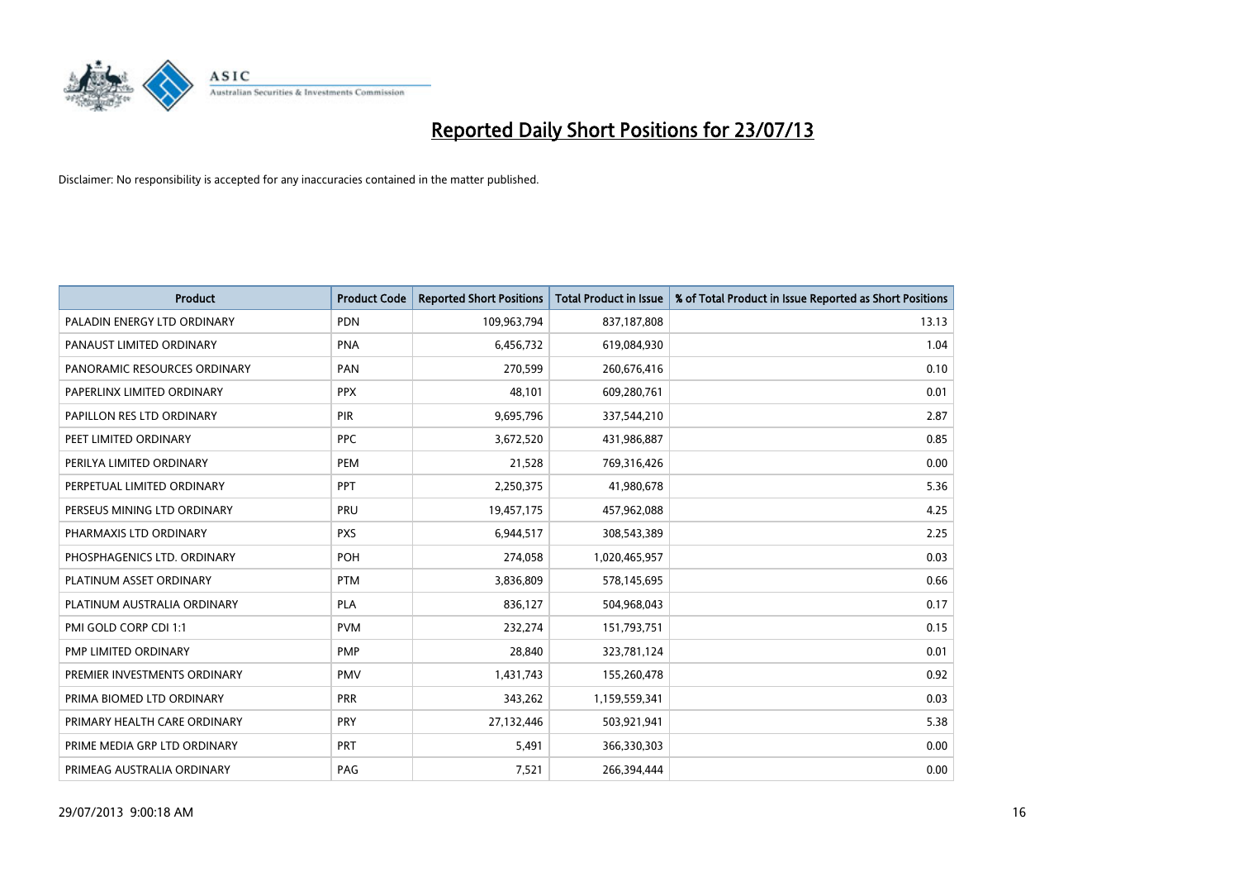

| <b>Product</b>               | <b>Product Code</b> | <b>Reported Short Positions</b> | <b>Total Product in Issue</b> | % of Total Product in Issue Reported as Short Positions |
|------------------------------|---------------------|---------------------------------|-------------------------------|---------------------------------------------------------|
| PALADIN ENERGY LTD ORDINARY  | <b>PDN</b>          | 109,963,794                     | 837,187,808                   | 13.13                                                   |
| PANAUST LIMITED ORDINARY     | <b>PNA</b>          | 6,456,732                       | 619,084,930                   | 1.04                                                    |
| PANORAMIC RESOURCES ORDINARY | PAN                 | 270,599                         | 260,676,416                   | 0.10                                                    |
| PAPERLINX LIMITED ORDINARY   | <b>PPX</b>          | 48,101                          | 609,280,761                   | 0.01                                                    |
| PAPILLON RES LTD ORDINARY    | PIR                 | 9,695,796                       | 337,544,210                   | 2.87                                                    |
| PEET LIMITED ORDINARY        | <b>PPC</b>          | 3,672,520                       | 431,986,887                   | 0.85                                                    |
| PERILYA LIMITED ORDINARY     | PEM                 | 21,528                          | 769,316,426                   | 0.00                                                    |
| PERPETUAL LIMITED ORDINARY   | PPT                 | 2,250,375                       | 41,980,678                    | 5.36                                                    |
| PERSEUS MINING LTD ORDINARY  | PRU                 | 19,457,175                      | 457,962,088                   | 4.25                                                    |
| PHARMAXIS LTD ORDINARY       | <b>PXS</b>          | 6,944,517                       | 308,543,389                   | 2.25                                                    |
| PHOSPHAGENICS LTD. ORDINARY  | <b>POH</b>          | 274,058                         | 1,020,465,957                 | 0.03                                                    |
| PLATINUM ASSET ORDINARY      | <b>PTM</b>          | 3,836,809                       | 578,145,695                   | 0.66                                                    |
| PLATINUM AUSTRALIA ORDINARY  | <b>PLA</b>          | 836,127                         | 504,968,043                   | 0.17                                                    |
| PMI GOLD CORP CDI 1:1        | <b>PVM</b>          | 232,274                         | 151,793,751                   | 0.15                                                    |
| PMP LIMITED ORDINARY         | <b>PMP</b>          | 28,840                          | 323,781,124                   | 0.01                                                    |
| PREMIER INVESTMENTS ORDINARY | PMV                 | 1,431,743                       | 155,260,478                   | 0.92                                                    |
| PRIMA BIOMED LTD ORDINARY    | <b>PRR</b>          | 343,262                         | 1,159,559,341                 | 0.03                                                    |
| PRIMARY HEALTH CARE ORDINARY | PRY                 | 27,132,446                      | 503,921,941                   | 5.38                                                    |
| PRIME MEDIA GRP LTD ORDINARY | <b>PRT</b>          | 5,491                           | 366,330,303                   | 0.00                                                    |
| PRIMEAG AUSTRALIA ORDINARY   | PAG                 | 7,521                           | 266,394,444                   | 0.00                                                    |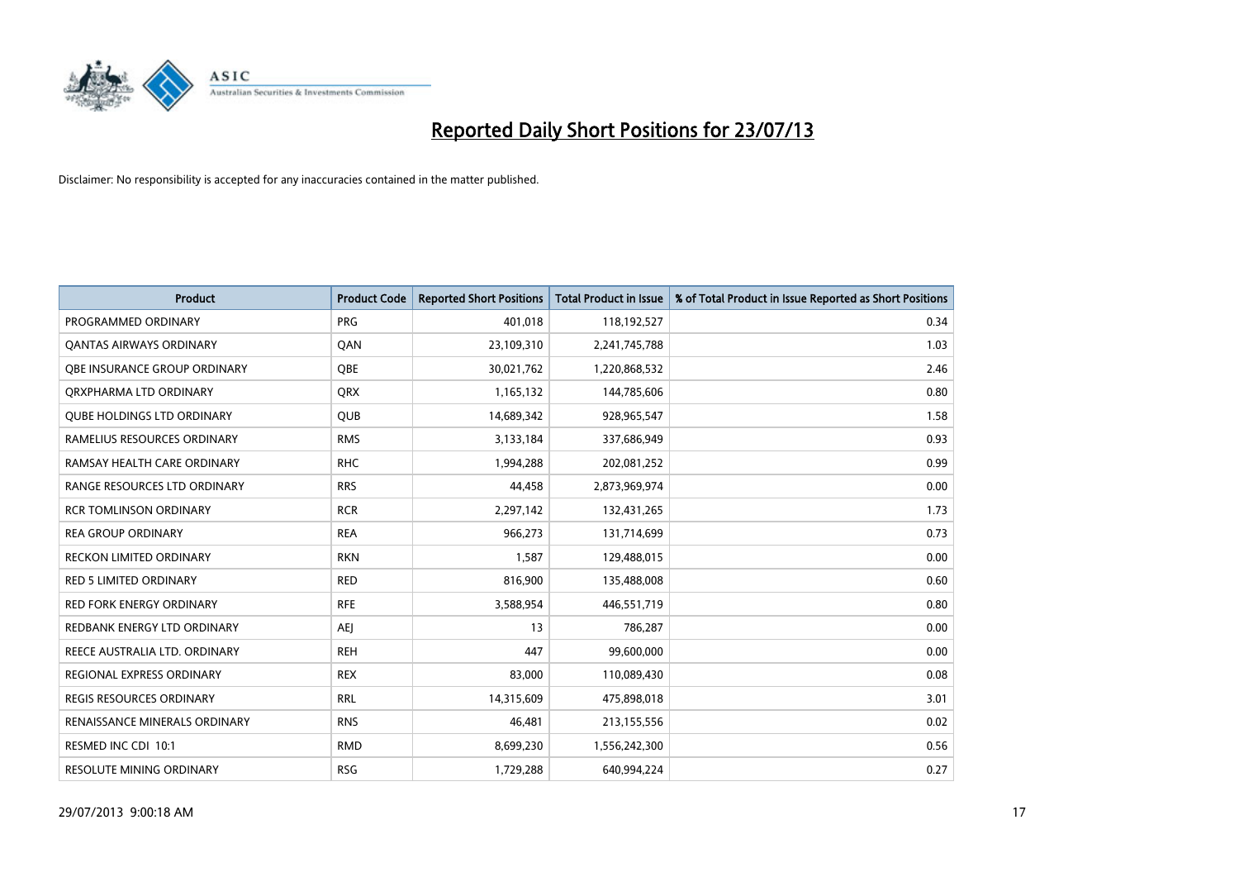

| <b>Product</b>                       | <b>Product Code</b> | <b>Reported Short Positions</b> | <b>Total Product in Issue</b> | % of Total Product in Issue Reported as Short Positions |
|--------------------------------------|---------------------|---------------------------------|-------------------------------|---------------------------------------------------------|
| PROGRAMMED ORDINARY                  | <b>PRG</b>          | 401,018                         | 118,192,527                   | 0.34                                                    |
| <b>QANTAS AIRWAYS ORDINARY</b>       | QAN                 | 23,109,310                      | 2,241,745,788                 | 1.03                                                    |
| <b>OBE INSURANCE GROUP ORDINARY</b>  | <b>OBE</b>          | 30,021,762                      | 1,220,868,532                 | 2.46                                                    |
| ORXPHARMA LTD ORDINARY               | QRX                 | 1,165,132                       | 144,785,606                   | 0.80                                                    |
| <b>QUBE HOLDINGS LTD ORDINARY</b>    | <b>QUB</b>          | 14,689,342                      | 928,965,547                   | 1.58                                                    |
| RAMELIUS RESOURCES ORDINARY          | <b>RMS</b>          | 3,133,184                       | 337,686,949                   | 0.93                                                    |
| RAMSAY HEALTH CARE ORDINARY          | <b>RHC</b>          | 1,994,288                       | 202,081,252                   | 0.99                                                    |
| RANGE RESOURCES LTD ORDINARY         | <b>RRS</b>          | 44,458                          | 2,873,969,974                 | 0.00                                                    |
| <b>RCR TOMLINSON ORDINARY</b>        | <b>RCR</b>          | 2,297,142                       | 132,431,265                   | 1.73                                                    |
| <b>REA GROUP ORDINARY</b>            | <b>REA</b>          | 966,273                         | 131,714,699                   | 0.73                                                    |
| RECKON LIMITED ORDINARY              | <b>RKN</b>          | 1,587                           | 129,488,015                   | 0.00                                                    |
| <b>RED 5 LIMITED ORDINARY</b>        | <b>RED</b>          | 816,900                         | 135,488,008                   | 0.60                                                    |
| RED FORK ENERGY ORDINARY             | <b>RFE</b>          | 3,588,954                       | 446,551,719                   | 0.80                                                    |
| REDBANK ENERGY LTD ORDINARY          | <b>AEJ</b>          | 13                              | 786,287                       | 0.00                                                    |
| REECE AUSTRALIA LTD. ORDINARY        | <b>REH</b>          | 447                             | 99,600,000                    | 0.00                                                    |
| REGIONAL EXPRESS ORDINARY            | <b>REX</b>          | 83,000                          | 110,089,430                   | 0.08                                                    |
| <b>REGIS RESOURCES ORDINARY</b>      | <b>RRL</b>          | 14,315,609                      | 475,898,018                   | 3.01                                                    |
| <b>RENAISSANCE MINERALS ORDINARY</b> | <b>RNS</b>          | 46,481                          | 213,155,556                   | 0.02                                                    |
| RESMED INC CDI 10:1                  | <b>RMD</b>          | 8,699,230                       | 1,556,242,300                 | 0.56                                                    |
| <b>RESOLUTE MINING ORDINARY</b>      | <b>RSG</b>          | 1,729,288                       | 640,994,224                   | 0.27                                                    |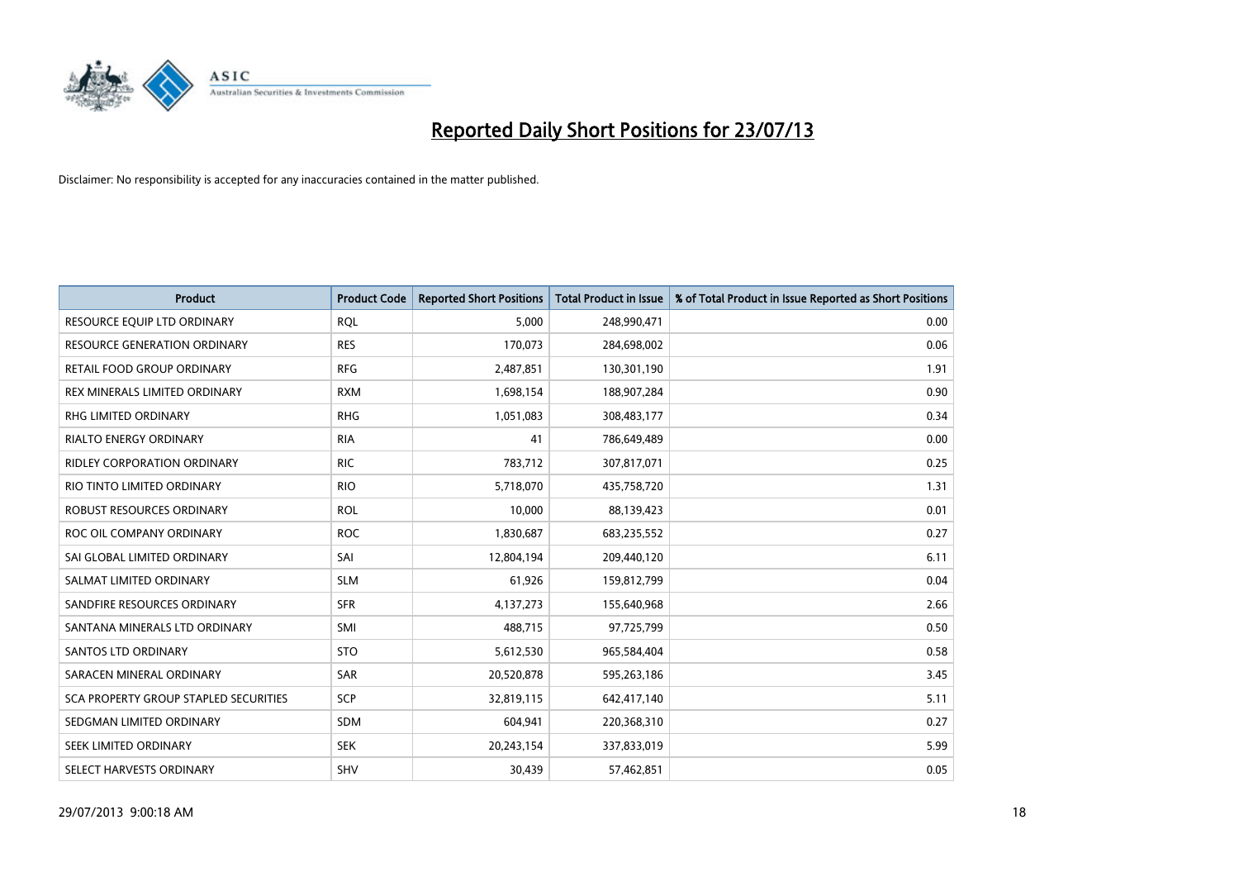

| <b>Product</b>                        | <b>Product Code</b> | <b>Reported Short Positions</b> | <b>Total Product in Issue</b> | % of Total Product in Issue Reported as Short Positions |
|---------------------------------------|---------------------|---------------------------------|-------------------------------|---------------------------------------------------------|
| RESOURCE EQUIP LTD ORDINARY           | <b>RQL</b>          | 5,000                           | 248,990,471                   | 0.00                                                    |
| <b>RESOURCE GENERATION ORDINARY</b>   | <b>RES</b>          | 170,073                         | 284,698,002                   | 0.06                                                    |
| RETAIL FOOD GROUP ORDINARY            | <b>RFG</b>          | 2,487,851                       | 130,301,190                   | 1.91                                                    |
| REX MINERALS LIMITED ORDINARY         | <b>RXM</b>          | 1,698,154                       | 188,907,284                   | 0.90                                                    |
| <b>RHG LIMITED ORDINARY</b>           | <b>RHG</b>          | 1,051,083                       | 308,483,177                   | 0.34                                                    |
| <b>RIALTO ENERGY ORDINARY</b>         | <b>RIA</b>          | 41                              | 786,649,489                   | 0.00                                                    |
| <b>RIDLEY CORPORATION ORDINARY</b>    | <b>RIC</b>          | 783,712                         | 307,817,071                   | 0.25                                                    |
| RIO TINTO LIMITED ORDINARY            | <b>RIO</b>          | 5,718,070                       | 435,758,720                   | 1.31                                                    |
| <b>ROBUST RESOURCES ORDINARY</b>      | <b>ROL</b>          | 10,000                          | 88,139,423                    | 0.01                                                    |
| ROC OIL COMPANY ORDINARY              | <b>ROC</b>          | 1,830,687                       | 683,235,552                   | 0.27                                                    |
| SAI GLOBAL LIMITED ORDINARY           | SAI                 | 12,804,194                      | 209,440,120                   | 6.11                                                    |
| SALMAT LIMITED ORDINARY               | <b>SLM</b>          | 61,926                          | 159,812,799                   | 0.04                                                    |
| SANDFIRE RESOURCES ORDINARY           | <b>SFR</b>          | 4,137,273                       | 155,640,968                   | 2.66                                                    |
| SANTANA MINERALS LTD ORDINARY         | SMI                 | 488,715                         | 97,725,799                    | 0.50                                                    |
| SANTOS LTD ORDINARY                   | <b>STO</b>          | 5,612,530                       | 965,584,404                   | 0.58                                                    |
| SARACEN MINERAL ORDINARY              | SAR                 | 20,520,878                      | 595,263,186                   | 3.45                                                    |
| SCA PROPERTY GROUP STAPLED SECURITIES | SCP                 | 32,819,115                      | 642,417,140                   | 5.11                                                    |
| SEDGMAN LIMITED ORDINARY              | SDM                 | 604,941                         | 220,368,310                   | 0.27                                                    |
| SEEK LIMITED ORDINARY                 | <b>SEK</b>          | 20,243,154                      | 337,833,019                   | 5.99                                                    |
| SELECT HARVESTS ORDINARY              | SHV                 | 30,439                          | 57,462,851                    | 0.05                                                    |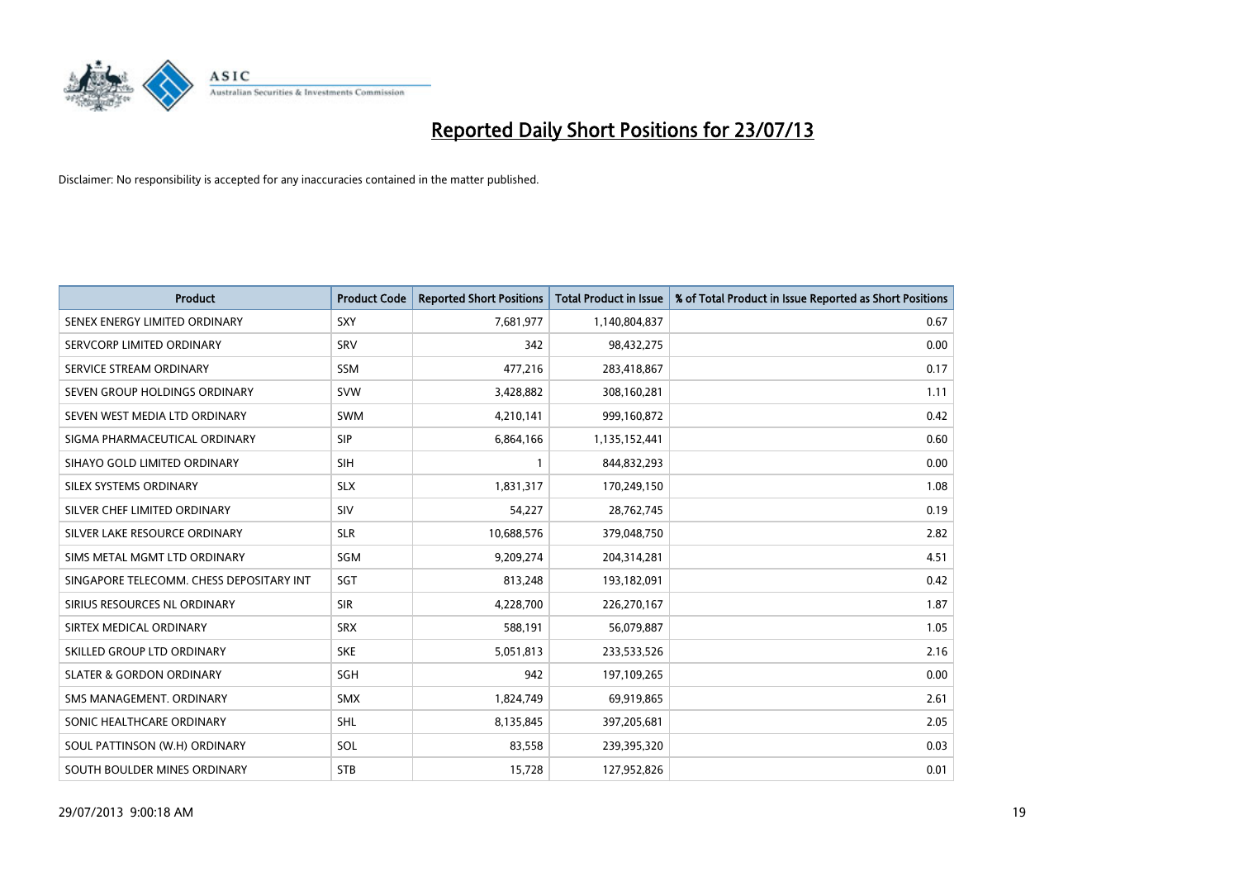

| <b>Product</b>                           | <b>Product Code</b> | <b>Reported Short Positions</b> | <b>Total Product in Issue</b> | % of Total Product in Issue Reported as Short Positions |
|------------------------------------------|---------------------|---------------------------------|-------------------------------|---------------------------------------------------------|
| SENEX ENERGY LIMITED ORDINARY            | SXY                 | 7,681,977                       | 1,140,804,837                 | 0.67                                                    |
| SERVCORP LIMITED ORDINARY                | SRV                 | 342                             | 98,432,275                    | 0.00                                                    |
| SERVICE STREAM ORDINARY                  | <b>SSM</b>          | 477,216                         | 283,418,867                   | 0.17                                                    |
| SEVEN GROUP HOLDINGS ORDINARY            | <b>SVW</b>          | 3,428,882                       | 308,160,281                   | 1.11                                                    |
| SEVEN WEST MEDIA LTD ORDINARY            | <b>SWM</b>          | 4,210,141                       | 999,160,872                   | 0.42                                                    |
| SIGMA PHARMACEUTICAL ORDINARY            | <b>SIP</b>          | 6,864,166                       | 1,135,152,441                 | 0.60                                                    |
| SIHAYO GOLD LIMITED ORDINARY             | <b>SIH</b>          | 1                               | 844,832,293                   | 0.00                                                    |
| SILEX SYSTEMS ORDINARY                   | <b>SLX</b>          | 1,831,317                       | 170,249,150                   | 1.08                                                    |
| SILVER CHEF LIMITED ORDINARY             | SIV                 | 54,227                          | 28,762,745                    | 0.19                                                    |
| SILVER LAKE RESOURCE ORDINARY            | <b>SLR</b>          | 10,688,576                      | 379,048,750                   | 2.82                                                    |
| SIMS METAL MGMT LTD ORDINARY             | SGM                 | 9,209,274                       | 204,314,281                   | 4.51                                                    |
| SINGAPORE TELECOMM. CHESS DEPOSITARY INT | SGT                 | 813,248                         | 193,182,091                   | 0.42                                                    |
| SIRIUS RESOURCES NL ORDINARY             | <b>SIR</b>          | 4,228,700                       | 226,270,167                   | 1.87                                                    |
| SIRTEX MEDICAL ORDINARY                  | <b>SRX</b>          | 588,191                         | 56,079,887                    | 1.05                                                    |
| SKILLED GROUP LTD ORDINARY               | <b>SKE</b>          | 5,051,813                       | 233,533,526                   | 2.16                                                    |
| <b>SLATER &amp; GORDON ORDINARY</b>      | SGH                 | 942                             | 197,109,265                   | 0.00                                                    |
| SMS MANAGEMENT. ORDINARY                 | <b>SMX</b>          | 1,824,749                       | 69,919,865                    | 2.61                                                    |
| SONIC HEALTHCARE ORDINARY                | <b>SHL</b>          | 8,135,845                       | 397,205,681                   | 2.05                                                    |
| SOUL PATTINSON (W.H) ORDINARY            | SOL                 | 83,558                          | 239,395,320                   | 0.03                                                    |
| SOUTH BOULDER MINES ORDINARY             | <b>STB</b>          | 15,728                          | 127,952,826                   | 0.01                                                    |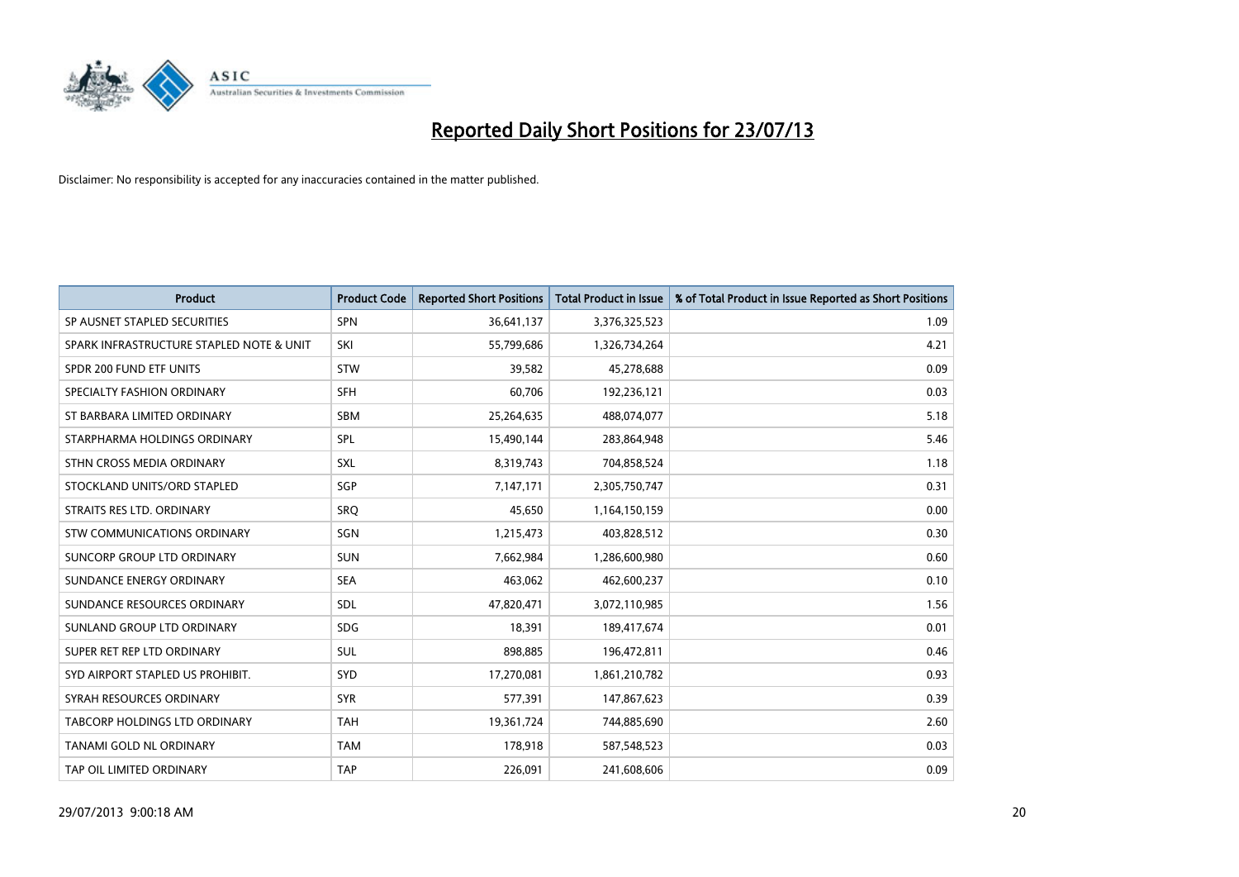

| <b>Product</b>                           | <b>Product Code</b> | <b>Reported Short Positions</b> | <b>Total Product in Issue</b> | % of Total Product in Issue Reported as Short Positions |
|------------------------------------------|---------------------|---------------------------------|-------------------------------|---------------------------------------------------------|
| SP AUSNET STAPLED SECURITIES             | <b>SPN</b>          | 36,641,137                      | 3,376,325,523                 | 1.09                                                    |
| SPARK INFRASTRUCTURE STAPLED NOTE & UNIT | SKI                 | 55,799,686                      | 1,326,734,264                 | 4.21                                                    |
| SPDR 200 FUND ETF UNITS                  | <b>STW</b>          | 39,582                          | 45,278,688                    | 0.09                                                    |
| SPECIALTY FASHION ORDINARY               | <b>SFH</b>          | 60,706                          | 192,236,121                   | 0.03                                                    |
| ST BARBARA LIMITED ORDINARY              | <b>SBM</b>          | 25,264,635                      | 488,074,077                   | 5.18                                                    |
| STARPHARMA HOLDINGS ORDINARY             | SPL                 | 15,490,144                      | 283,864,948                   | 5.46                                                    |
| STHN CROSS MEDIA ORDINARY                | <b>SXL</b>          | 8,319,743                       | 704,858,524                   | 1.18                                                    |
| STOCKLAND UNITS/ORD STAPLED              | <b>SGP</b>          | 7,147,171                       | 2,305,750,747                 | 0.31                                                    |
| STRAITS RES LTD. ORDINARY                | SRO                 | 45,650                          | 1,164,150,159                 | 0.00                                                    |
| <b>STW COMMUNICATIONS ORDINARY</b>       | SGN                 | 1,215,473                       | 403,828,512                   | 0.30                                                    |
| SUNCORP GROUP LTD ORDINARY               | <b>SUN</b>          | 7,662,984                       | 1,286,600,980                 | 0.60                                                    |
| SUNDANCE ENERGY ORDINARY                 | <b>SEA</b>          | 463,062                         | 462,600,237                   | 0.10                                                    |
| SUNDANCE RESOURCES ORDINARY              | <b>SDL</b>          | 47,820,471                      | 3,072,110,985                 | 1.56                                                    |
| SUNLAND GROUP LTD ORDINARY               | <b>SDG</b>          | 18,391                          | 189,417,674                   | 0.01                                                    |
| SUPER RET REP LTD ORDINARY               | <b>SUL</b>          | 898,885                         | 196,472,811                   | 0.46                                                    |
| SYD AIRPORT STAPLED US PROHIBIT.         | <b>SYD</b>          | 17,270,081                      | 1,861,210,782                 | 0.93                                                    |
| SYRAH RESOURCES ORDINARY                 | <b>SYR</b>          | 577,391                         | 147,867,623                   | 0.39                                                    |
| TABCORP HOLDINGS LTD ORDINARY            | <b>TAH</b>          | 19,361,724                      | 744,885,690                   | 2.60                                                    |
| TANAMI GOLD NL ORDINARY                  | <b>TAM</b>          | 178,918                         | 587,548,523                   | 0.03                                                    |
| TAP OIL LIMITED ORDINARY                 | <b>TAP</b>          | 226,091                         | 241,608,606                   | 0.09                                                    |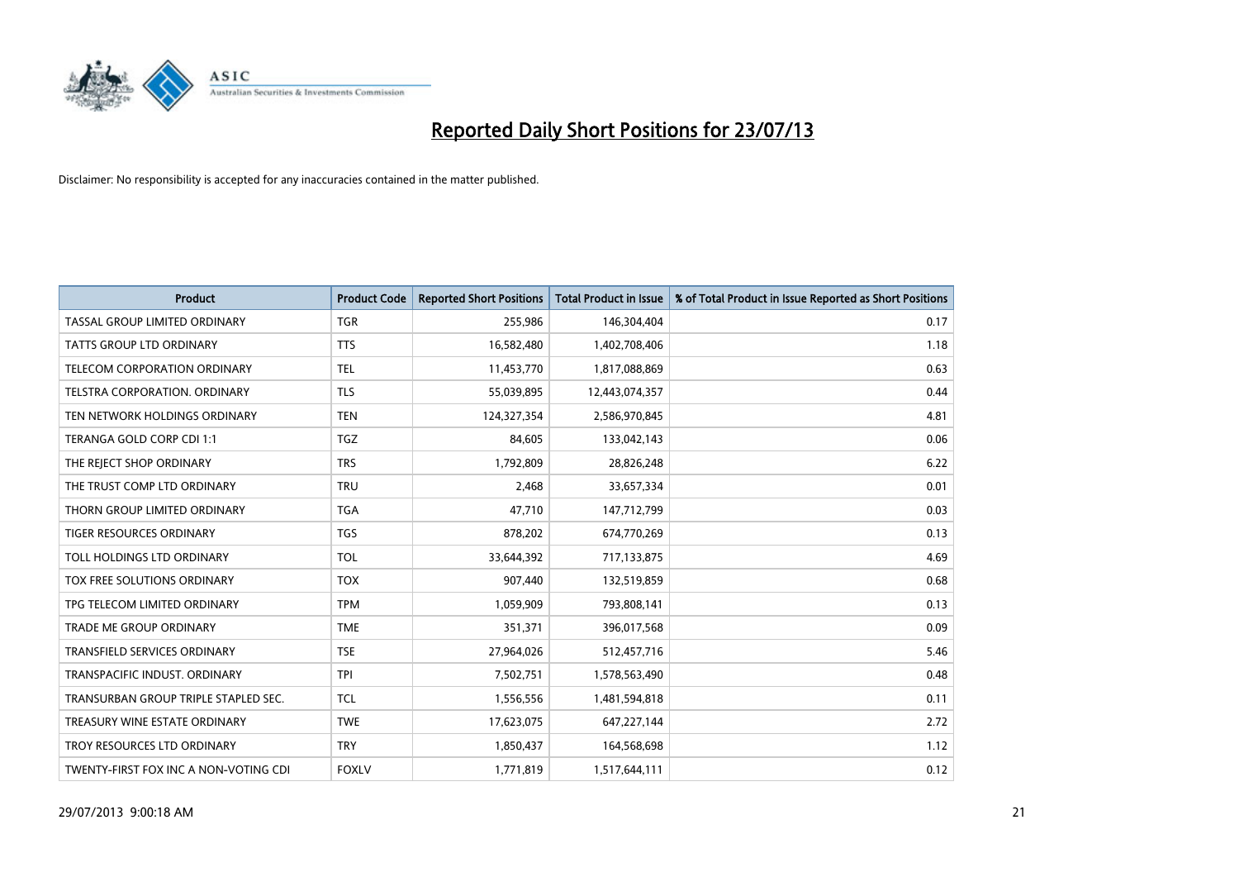

| <b>Product</b>                        | <b>Product Code</b> | <b>Reported Short Positions</b> | <b>Total Product in Issue</b> | % of Total Product in Issue Reported as Short Positions |
|---------------------------------------|---------------------|---------------------------------|-------------------------------|---------------------------------------------------------|
| TASSAL GROUP LIMITED ORDINARY         | <b>TGR</b>          | 255,986                         | 146,304,404                   | 0.17                                                    |
| TATTS GROUP LTD ORDINARY              | <b>TTS</b>          | 16,582,480                      | 1,402,708,406                 | 1.18                                                    |
| <b>TELECOM CORPORATION ORDINARY</b>   | <b>TEL</b>          | 11,453,770                      | 1,817,088,869                 | 0.63                                                    |
| TELSTRA CORPORATION. ORDINARY         | <b>TLS</b>          | 55,039,895                      | 12,443,074,357                | 0.44                                                    |
| TEN NETWORK HOLDINGS ORDINARY         | <b>TEN</b>          | 124,327,354                     | 2,586,970,845                 | 4.81                                                    |
| TERANGA GOLD CORP CDI 1:1             | TGZ                 | 84,605                          | 133,042,143                   | 0.06                                                    |
| THE REJECT SHOP ORDINARY              | <b>TRS</b>          | 1,792,809                       | 28,826,248                    | 6.22                                                    |
| THE TRUST COMP LTD ORDINARY           | <b>TRU</b>          | 2,468                           | 33,657,334                    | 0.01                                                    |
| THORN GROUP LIMITED ORDINARY          | <b>TGA</b>          | 47,710                          | 147,712,799                   | 0.03                                                    |
| <b>TIGER RESOURCES ORDINARY</b>       | <b>TGS</b>          | 878,202                         | 674,770,269                   | 0.13                                                    |
| TOLL HOLDINGS LTD ORDINARY            | <b>TOL</b>          | 33,644,392                      | 717,133,875                   | 4.69                                                    |
| TOX FREE SOLUTIONS ORDINARY           | <b>TOX</b>          | 907,440                         | 132,519,859                   | 0.68                                                    |
| TPG TELECOM LIMITED ORDINARY          | <b>TPM</b>          | 1,059,909                       | 793,808,141                   | 0.13                                                    |
| <b>TRADE ME GROUP ORDINARY</b>        | <b>TME</b>          | 351,371                         | 396,017,568                   | 0.09                                                    |
| <b>TRANSFIELD SERVICES ORDINARY</b>   | <b>TSE</b>          | 27,964,026                      | 512,457,716                   | 5.46                                                    |
| TRANSPACIFIC INDUST. ORDINARY         | <b>TPI</b>          | 7,502,751                       | 1,578,563,490                 | 0.48                                                    |
| TRANSURBAN GROUP TRIPLE STAPLED SEC.  | <b>TCL</b>          | 1,556,556                       | 1,481,594,818                 | 0.11                                                    |
| TREASURY WINE ESTATE ORDINARY         | <b>TWE</b>          | 17,623,075                      | 647,227,144                   | 2.72                                                    |
| TROY RESOURCES LTD ORDINARY           | <b>TRY</b>          | 1,850,437                       | 164,568,698                   | 1.12                                                    |
| TWENTY-FIRST FOX INC A NON-VOTING CDI | <b>FOXLV</b>        | 1,771,819                       | 1,517,644,111                 | 0.12                                                    |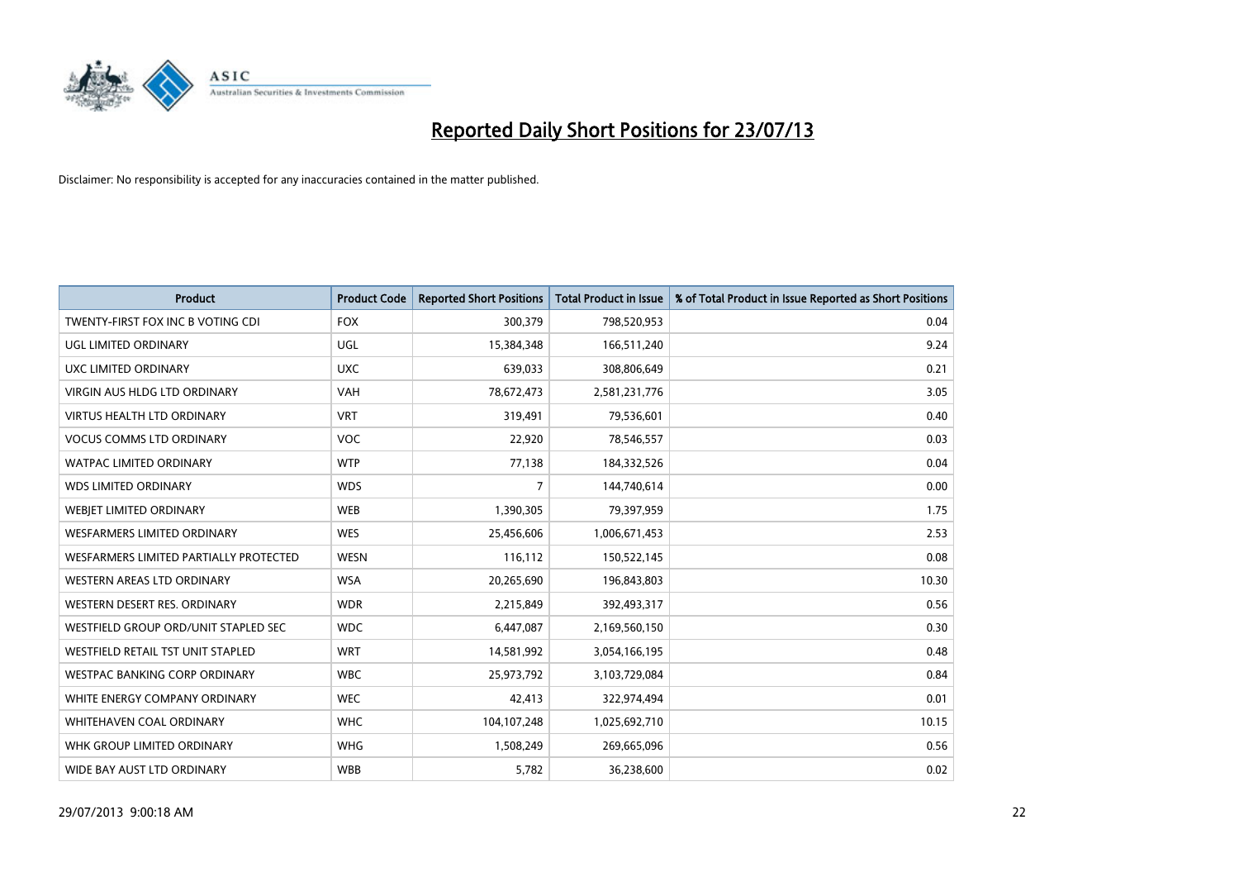

| <b>Product</b>                         | <b>Product Code</b> | <b>Reported Short Positions</b> | <b>Total Product in Issue</b> | % of Total Product in Issue Reported as Short Positions |
|----------------------------------------|---------------------|---------------------------------|-------------------------------|---------------------------------------------------------|
| TWENTY-FIRST FOX INC B VOTING CDI      | <b>FOX</b>          | 300,379                         | 798,520,953                   | 0.04                                                    |
| <b>UGL LIMITED ORDINARY</b>            | UGL                 | 15,384,348                      | 166,511,240                   | 9.24                                                    |
| UXC LIMITED ORDINARY                   | <b>UXC</b>          | 639,033                         | 308,806,649                   | 0.21                                                    |
| VIRGIN AUS HLDG LTD ORDINARY           | <b>VAH</b>          | 78,672,473                      | 2,581,231,776                 | 3.05                                                    |
| <b>VIRTUS HEALTH LTD ORDINARY</b>      | <b>VRT</b>          | 319,491                         | 79,536,601                    | 0.40                                                    |
| <b>VOCUS COMMS LTD ORDINARY</b>        | <b>VOC</b>          | 22,920                          | 78,546,557                    | 0.03                                                    |
| <b>WATPAC LIMITED ORDINARY</b>         | <b>WTP</b>          | 77,138                          | 184,332,526                   | 0.04                                                    |
| <b>WDS LIMITED ORDINARY</b>            | <b>WDS</b>          | $\overline{7}$                  | 144,740,614                   | 0.00                                                    |
| WEBIET LIMITED ORDINARY                | <b>WEB</b>          | 1,390,305                       | 79,397,959                    | 1.75                                                    |
| WESFARMERS LIMITED ORDINARY            | <b>WES</b>          | 25,456,606                      | 1,006,671,453                 | 2.53                                                    |
| WESFARMERS LIMITED PARTIALLY PROTECTED | <b>WESN</b>         | 116,112                         | 150,522,145                   | 0.08                                                    |
| <b>WESTERN AREAS LTD ORDINARY</b>      | <b>WSA</b>          | 20,265,690                      | 196,843,803                   | 10.30                                                   |
| WESTERN DESERT RES. ORDINARY           | <b>WDR</b>          | 2,215,849                       | 392,493,317                   | 0.56                                                    |
| WESTFIELD GROUP ORD/UNIT STAPLED SEC   | <b>WDC</b>          | 6,447,087                       | 2,169,560,150                 | 0.30                                                    |
| WESTFIELD RETAIL TST UNIT STAPLED      | <b>WRT</b>          | 14,581,992                      | 3,054,166,195                 | 0.48                                                    |
| <b>WESTPAC BANKING CORP ORDINARY</b>   | <b>WBC</b>          | 25,973,792                      | 3,103,729,084                 | 0.84                                                    |
| WHITE ENERGY COMPANY ORDINARY          | <b>WEC</b>          | 42,413                          | 322,974,494                   | 0.01                                                    |
| <b>WHITEHAVEN COAL ORDINARY</b>        | <b>WHC</b>          | 104, 107, 248                   | 1,025,692,710                 | 10.15                                                   |
| WHK GROUP LIMITED ORDINARY             | <b>WHG</b>          | 1,508,249                       | 269,665,096                   | 0.56                                                    |
| WIDE BAY AUST LTD ORDINARY             | <b>WBB</b>          | 5,782                           | 36,238,600                    | 0.02                                                    |